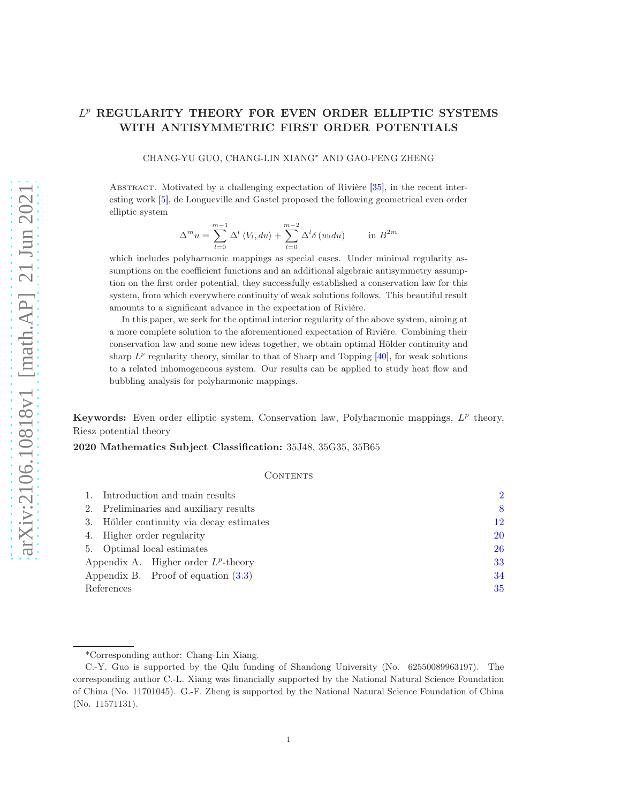# L <sup>p</sup> REGULARITY THEORY FOR EVEN ORDER ELLIPTIC SYSTEMS WITH ANTISYMMETRIC FIRST ORDER POTENTIALS

CHANG-YU GUO, CHANG-LIN XIANG<sup>∗</sup> AND GAO-FENG ZHENG

Abstract. Motivated by a challenging expectation of Rivière [\[35\]](#page-36-0), in the recent interesting work [\[5\]](#page-34-0), de Longueville and Gastel proposed the following geometrical even order elliptic system

$$
\Delta^m u = \sum_{l=0}^{m-1} \Delta^l \langle V_l, du \rangle + \sum_{l=0}^{m-2} \Delta^l \delta(w_l du) \quad \text{in } B^{2m}
$$

which includes polyharmonic mappings as special cases. Under minimal regularity assumptions on the coefficient functions and an additional algebraic antisymmetry assumption on the first order potential, they successfully established a conservation law for this system, from which everywhere continuity of weak solutions follows. This beautiful result amounts to a significant advance in the expectation of Rivière.

In this paper, we seek for the optimal interior regularity of the above system, aiming at a more complete solution to the aforementioned expectation of Rivière. Combining their conservation law and some new ideas together, we obtain optimal Hölder continuity and sharp  $L^p$  regularity theory, similar to that of Sharp and Topping  $[40]$ , for weak solutions to a related inhomogeneous system. Our results can be applied to study heat flow and bubbling analysis for polyharmonic mappings.

Keywords: Even order elliptic system, Conservation law, Polyharmonic mappings,  $L^p$  theory, Riesz potential theory

2020 Mathematics Subject Classification: 35J48, 35G35, 35B65

#### CONTENTS

|            | 1. Introduction and main results         | $\overline{2}$ |
|------------|------------------------------------------|----------------|
|            | 2. Preliminaries and auxiliary results   | 8              |
|            | 3. Hölder continuity via decay estimates | 12             |
|            | 4. Higher order regularity               | 20             |
|            | 5. Optimal local estimates               | 26             |
|            | Appendix A. Higher order $L^p$ -theory   | 33             |
|            | Appendix B. Proof of equation $(3.3)$    | 34             |
| References |                                          | 35             |

<sup>\*</sup>Corresponding author: Chang-Lin Xiang.

C.-Y. Guo is supported by the Qilu funding of Shandong University (No. 62550089963197). The corresponding author C.-L. Xiang was financially supported by the National Natural Science Foundation of China (No. 11701045). G.-F. Zheng is supported by the National Natural Science Foundation of China (No. 11571131).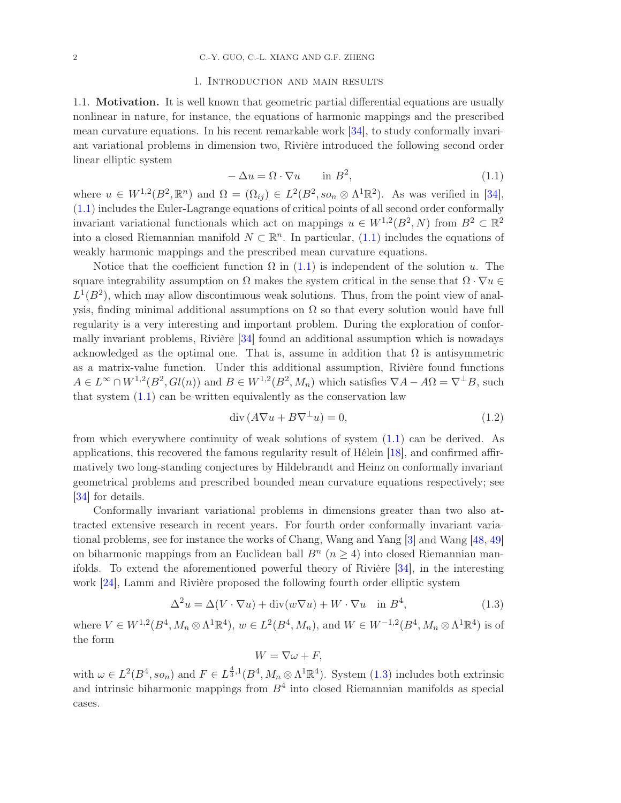#### 1. Introduction and main results

<span id="page-1-0"></span>1.1. Motivation. It is well known that geometric partial differential equations are usually nonlinear in nature, for instance, the equations of harmonic mappings and the prescribed mean curvature equations. In his recent remarkable work [\[34\]](#page-36-2), to study conformally invariant variational problems in dimension two, Rivière introduced the following second order linear elliptic system

<span id="page-1-1"></span>
$$
-\Delta u = \Omega \cdot \nabla u \qquad \text{in } B^2,\tag{1.1}
$$

where  $u \in W^{1,2}(B^2,\mathbb{R}^n)$  and  $\Omega = (\Omega_{ij}) \in L^2(B^2, so_n \otimes \Lambda^1 \mathbb{R}^2)$ . As was verified in [\[34\]](#page-36-2), [\(1.1\)](#page-1-1) includes the Euler-Lagrange equations of critical points of all second order conformally invariant variational functionals which act on mappings  $u \in W^{1,2}(B^2, N)$  from  $B^2 \subset \mathbb{R}^2$ into a closed Riemannian manifold  $N \subset \mathbb{R}^n$ . In particular, [\(1.1\)](#page-1-1) includes the equations of weakly harmonic mappings and the prescribed mean curvature equations.

Notice that the coefficient function  $\Omega$  in [\(1.1\)](#page-1-1) is independent of the solution u. The square integrability assumption on  $\Omega$  makes the system critical in the sense that  $\Omega \cdot \nabla u \in$  $L^1(B^2)$ , which may allow discontinuous weak solutions. Thus, from the point view of analysis, finding minimal additional assumptions on  $\Omega$  so that every solution would have full regularity is a very interesting and important problem. During the exploration of conformally invariant problems, Rivière [\[34\]](#page-36-2) found an additional assumption which is nowadays acknowledged as the optimal one. That is, assume in addition that  $\Omega$  is antisymmetric as a matrix-value function. Under this additional assumption, Rivière found functions  $A \in L^{\infty} \cap W^{1,2}(B^2, Gl(n))$  and  $B \in W^{1,2}(B^2, M_n)$  which satisfies  $\nabla A - A\Omega = \nabla^{\perp}B$ , such that system  $(1.1)$  can be written equivalently as the conservation law

$$
\operatorname{div}\left(A\nabla u + B\nabla^{\perp}u\right) = 0,\tag{1.2}
$$

from which everywhere continuity of weak solutions of system [\(1.1\)](#page-1-1) can be derived. As applications, this recovered the famous regularity result of Hélein [\[18\]](#page-35-0), and confirmed affirmatively two long-standing conjectures by Hildebrandt and Heinz on conformally invariant geometrical problems and prescribed bounded mean curvature equations respectively; see [\[34\]](#page-36-2) for details.

Conformally invariant variational problems in dimensions greater than two also attracted extensive research in recent years. For fourth order conformally invariant variational problems, see for instance the works of Chang, Wang and Yang [\[3\]](#page-34-2) and Wang [\[48,](#page-36-3) [49\]](#page-36-4) on biharmonic mappings from an Euclidean ball  $B<sup>n</sup>$  ( $n \ge 4$ ) into closed Riemannian manifolds. To extend the aforementioned powerful theory of Rivière [\[34\]](#page-36-2), in the interesting work [\[24\]](#page-35-1), Lamm and Rivière proposed the following fourth order elliptic system

<span id="page-1-2"></span>
$$
\Delta^2 u = \Delta (V \cdot \nabla u) + \text{div}(w \nabla u) + W \cdot \nabla u \quad \text{in } B^4,
$$
\n(1.3)

where  $V \in W^{1,2}(B^4, M_n \otimes \Lambda^1 \mathbb{R}^4)$ ,  $w \in L^2(B^4, M_n)$ , and  $W \in W^{-1,2}(B^4, M_n \otimes \Lambda^1 \mathbb{R}^4)$  is of the form

$$
W = \nabla \omega + F,
$$

with  $\omega \in L^2(B^4, so_n)$  and  $F \in L^{\frac{4}{3},1}(B^4, M_n \otimes \Lambda^1 \mathbb{R}^4)$ . System [\(1.3\)](#page-1-2) includes both extrinsic and intrinsic biharmonic mappings from  $B<sup>4</sup>$  into closed Riemannian manifolds as special cases.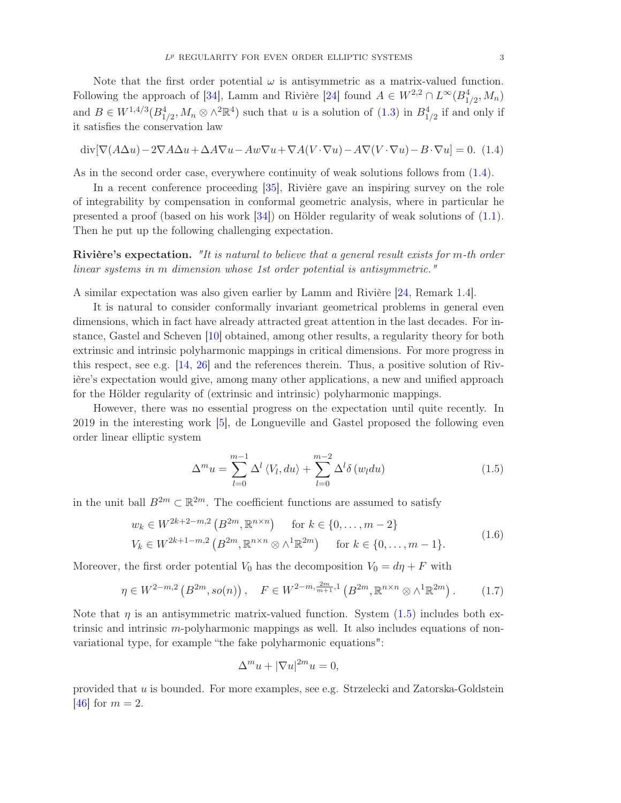Note that the first order potential  $\omega$  is antisymmetric as a matrix-valued function. Following the approach of [\[34\]](#page-36-2), Lamm and Rivière [\[24\]](#page-35-1) found  $A \in W^{2,2} \cap L^{\infty}(B^4_{1/2}, M_n)$ and  $B \in W^{1,4/3}(B_{1/2}^4, M_n \otimes \wedge^2 \mathbb{R}^4)$  such that u is a solution of  $(1.3)$  in  $B_{1/2}^4$  if and only if it satisfies the conservation law

<span id="page-2-0"></span>
$$
\operatorname{div}[\nabla(A\Delta u) - 2\nabla A\Delta u + \Delta A\nabla u - Aw\nabla u + \nabla A(V\cdot\nabla u) - A\nabla(V\cdot\nabla u) - B\cdot\nabla u] = 0.
$$
 (1.4)

As in the second order case, everywhere continuity of weak solutions follows from [\(1.4\)](#page-2-0).

In a recent conference proceeding [\[35\]](#page-36-0), Rivière gave an inspiring survey on the role of integrability by compensation in conformal geometric analysis, where in particular he presented a proof (based on his work [\[34\]](#page-36-2)) on Hölder regularity of weak solutions of [\(1.1\)](#page-1-1). Then he put up the following challenging expectation.

Rivière's expectation. "It is natural to believe that a general result exists for m-th order linear systems in m dimension whose 1st order potential is antisymmetric."

A similar expectation was also given earlier by Lamm and Rivière [\[24,](#page-35-1) Remark 1.4].

It is natural to consider conformally invariant geometrical problems in general even dimensions, which in fact have already attracted great attention in the last decades. For instance, Gastel and Scheven [\[10\]](#page-35-2) obtained, among other results, a regularity theory for both extrinsic and intrinsic polyharmonic mappings in critical dimensions. For more progress in this respect, see e.g. [\[14,](#page-35-3) [26\]](#page-35-4) and the references therein. Thus, a positive solution of Rivière's expectation would give, among many other applications, a new and unified approach for the Hölder regularity of (extrinsic and intrinsic) polyharmonic mappings.

However, there was no essential progress on the expectation until quite recently. In 2019 in the interesting work [\[5\]](#page-34-0), de Longueville and Gastel proposed the following even order linear elliptic system

<span id="page-2-1"></span>
$$
\Delta^m u = \sum_{l=0}^{m-1} \Delta^l \langle V_l, du \rangle + \sum_{l=0}^{m-2} \Delta^l \delta(w_l du)
$$
 (1.5)

in the unit ball  $B^{2m} \subset \mathbb{R}^{2m}$ . The coefficient functions are assumed to satisfy

$$
w_k \in W^{2k+2-m,2}(B^{2m}, \mathbb{R}^{n \times n}) \quad \text{for } k \in \{0, \dots, m-2\}
$$
  

$$
V_k \in W^{2k+1-m,2}(B^{2m}, \mathbb{R}^{n \times n} \otimes \wedge^1 \mathbb{R}^{2m}) \quad \text{for } k \in \{0, \dots, m-1\}.
$$
 (1.6)

Moreover, the first order potential  $V_0$  has the decomposition  $V_0 = d\eta + F$  with

$$
\eta \in W^{2-m,2}\left(B^{2m}, so(n)\right), \quad F \in W^{2-m, \frac{2m}{m+1}, 1}\left(B^{2m}, \mathbb{R}^{n \times n} \otimes \wedge^1 \mathbb{R}^{2m}\right). \tag{1.7}
$$

Note that  $\eta$  is an antisymmetric matrix-valued function. System [\(1.5\)](#page-2-1) includes both extrinsic and intrinsic m-polyharmonic mappings as well. It also includes equations of nonvariational type, for example "the fake polyharmonic equations":

$$
\Delta^m u + |\nabla u|^{2m} u = 0,
$$

provided that u is bounded. For more examples, see e.g. Strzelecki and Zatorska-Goldstein [\[46\]](#page-36-5) for  $m = 2$ .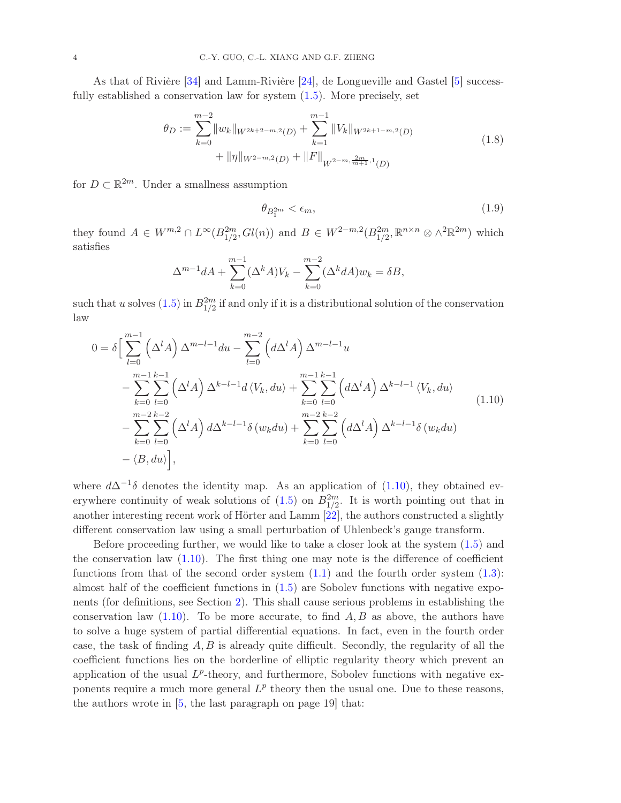As that of Rivière [\[34\]](#page-36-2) and Lamm-Rivière [\[24\]](#page-35-1), de Longueville and Gastel [\[5\]](#page-34-0) successfully established a conservation law for system  $(1.5)$ . More precisely, set

<span id="page-3-2"></span>
$$
\theta_D := \sum_{k=0}^{m-2} \|w_k\|_{W^{2k+2-m,2}(D)} + \sum_{k=1}^{m-1} \|V_k\|_{W^{2k+1-m,2}(D)} + \|\eta\|_{W^{2-m,2}(D)} + \|F\|_{W^{2-m,\frac{2m}{m+1},1}(D)}
$$
\n(1.8)

for  $D \subset \mathbb{R}^{2m}$ . Under a smallness assumption

<span id="page-3-1"></span>
$$
\theta_{B_1^{2m}} < \epsilon_m,\tag{1.9}
$$

they found  $A \in W^{m,2} \cap L^{\infty}(B_{1/2}^{2m}, Gl(n))$  and  $B \in W^{2-m,2}(B_{1/2}^{2m}, \mathbb{R}^{n \times n} \otimes \wedge^2 \mathbb{R}^{2m})$  which satisfies

$$
\Delta^{m-1} dA + \sum_{k=0}^{m-1} (\Delta^k A) V_k - \sum_{k=0}^{m-2} (\Delta^k dA) w_k = \delta B,
$$

such that u solves  $(1.5)$  in  $B_{1/2}^{2m}$  if and only if it is a distributional solution of the conservation law

<span id="page-3-0"></span>
$$
0 = \delta \Big[ \sum_{l=0}^{m-1} (\Delta^l A) \Delta^{m-l-1} du - \sum_{l=0}^{m-2} (d \Delta^l A) \Delta^{m-l-1} u - \sum_{k=0}^{m-1} \sum_{l=0}^{k-1} (\Delta^l A) \Delta^{k-l-1} d \langle V_k, du \rangle + \sum_{k=0}^{m-1} \sum_{l=0}^{k-1} (d \Delta^l A) \Delta^{k-l-1} \langle V_k, du \rangle - \sum_{k=0}^{m-2} \sum_{l=0}^{k-2} (\Delta^l A) d \Delta^{k-l-1} \delta (w_k du) + \sum_{k=0}^{m-2} \sum_{l=0}^{k-2} (d \Delta^l A) \Delta^{k-l-1} \delta (w_k du) - \langle B, du \rangle \Big],
$$
\n(1.10)

where  $d\Delta^{-1}\delta$  denotes the identity map. As an application of [\(1.10\)](#page-3-0), they obtained everywhere continuity of weak solutions of  $(1.5)$  on  $B_{1/2}^{2m}$ . It is worth pointing out that in another interesting recent work of Hörter and Lamm [\[22\]](#page-35-5), the authors constructed a slightly different conservation law using a small perturbation of Uhlenbeck's gauge transform.

Before proceeding further, we would like to take a closer look at the system [\(1.5\)](#page-2-1) and the conservation law  $(1.10)$ . The first thing one may note is the difference of coefficient functions from that of the second order system  $(1.1)$  and the fourth order system  $(1.3)$ : almost half of the coefficient functions in [\(1.5\)](#page-2-1) are Sobolev functions with negative exponents (for definitions, see Section [2\)](#page-7-0). This shall cause serious problems in establishing the conservation law  $(1.10)$ . To be more accurate, to find  $A, B$  as above, the authors have to solve a huge system of partial differential equations. In fact, even in the fourth order case, the task of finding  $A, B$  is already quite difficult. Secondly, the regularity of all the coefficient functions lies on the borderline of elliptic regularity theory which prevent an application of the usual  $L^p$ -theory, and furthermore, Sobolev functions with negative exponents require a much more general  $L^p$  theory then the usual one. Due to these reasons, the authors wrote in [\[5,](#page-34-0) the last paragraph on page 19] that: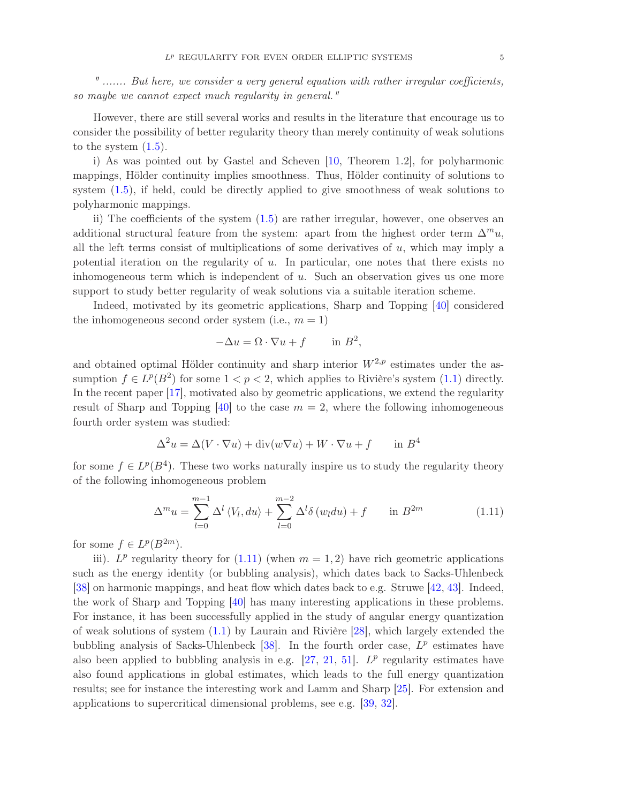" ....... But here, we consider a very general equation with rather irregular coefficients, so maybe we cannot expect much regularity in general."

However, there are still several works and results in the literature that encourage us to consider the possibility of better regularity theory than merely continuity of weak solutions to the system  $(1.5)$ .

i) As was pointed out by Gastel and Scheven [\[10,](#page-35-2) Theorem 1.2], for polyharmonic mappings, Hölder continuity implies smoothness. Thus, Hölder continuity of solutions to system [\(1.5\)](#page-2-1), if held, could be directly applied to give smoothness of weak solutions to polyharmonic mappings.

ii) The coefficients of the system [\(1.5\)](#page-2-1) are rather irregular, however, one observes an additional structural feature from the system: apart from the highest order term  $\Delta^m u$ , all the left terms consist of multiplications of some derivatives of u, which may imply a potential iteration on the regularity of u. In particular, one notes that there exists no inhomogeneous term which is independent of  $u$ . Such an observation gives us one more support to study better regularity of weak solutions via a suitable iteration scheme.

Indeed, motivated by its geometric applications, Sharp and Topping [\[40\]](#page-36-1) considered the inhomogeneous second order system (i.e.,  $m = 1$ )

$$
-\Delta u = \Omega \cdot \nabla u + f \quad \text{in } B^2,
$$

and obtained optimal Hölder continuity and sharp interior  $W^{2,p}$  estimates under the assumption  $f \in L^p(B^2)$  for some  $1 < p < 2$ , which applies to Rivière's system  $(1.1)$  directly. In the recent paper [\[17\]](#page-35-6), motivated also by geometric applications, we extend the regularity result of Sharp and Topping [\[40\]](#page-36-1) to the case  $m = 2$ , where the following inhomogeneous fourth order system was studied:

$$
\Delta^2 u = \Delta (V \cdot \nabla u) + \text{div}(w \nabla u) + W \cdot \nabla u + f \quad \text{in } B^4
$$

for some  $f \in L^p(B^4)$ . These two works naturally inspire us to study the regularity theory of the following inhomogeneous problem

<span id="page-4-0"></span>
$$
\Delta^m u = \sum_{l=0}^{m-1} \Delta^l \langle V_l, du \rangle + \sum_{l=0}^{m-2} \Delta^l \delta(w_l du) + f \quad \text{in } B^{2m} \tag{1.11}
$$

for some  $f \in L^p(B^{2m})$ .

iii).  $L^p$  regularity theory for [\(1.11\)](#page-4-0) (when  $m = 1, 2$ ) have rich geometric applications such as the energy identity (or bubbling analysis), which dates back to Sacks-Uhlenbeck [\[38\]](#page-36-6) on harmonic mappings, and heat flow which dates back to e.g. Struwe [\[42,](#page-36-7) [43\]](#page-36-8). Indeed, the work of Sharp and Topping [\[40\]](#page-36-1) has many interesting applications in these problems. For instance, it has been successfully applied in the study of angular energy quantization of weak solutions of system [\(1.1\)](#page-1-1) by Laurain and Rivière [\[28\]](#page-35-7), which largely extended the bubbling analysis of Sacks-Uhlenbeck  $[38]$ . In the fourth order case,  $L^p$  estimates have also been applied to bubbling analysis in e.g.  $[27, 21, 51]$  $[27, 21, 51]$  $[27, 21, 51]$  $[27, 21, 51]$ .  $L^p$  regularity estimates have also found applications in global estimates, which leads to the full energy quantization results; see for instance the interesting work and Lamm and Sharp [\[25\]](#page-35-10). For extension and applications to supercritical dimensional problems, see e.g. [\[39,](#page-36-10) [32\]](#page-35-11).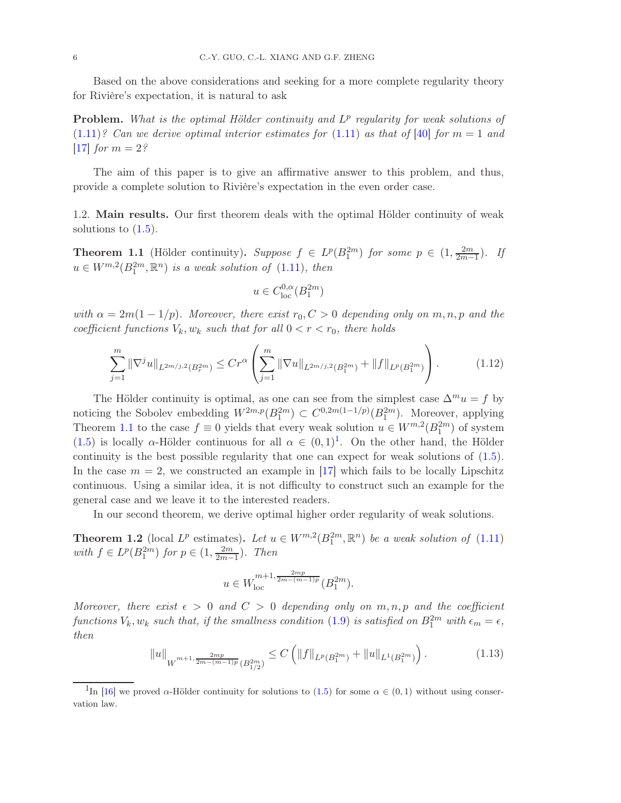Based on the above considerations and seeking for a more complete regularity theory for Rivière's expectation, it is natural to ask

**Problem.** What is the optimal Hölder continuity and  $L^p$  regularity for weak solutions of  $(1.11)$ ? Can we derive optimal interior estimates for  $(1.11)$  as that of [\[40\]](#page-36-1) for  $m = 1$  and [\[17\]](#page-35-6) *for*  $m = 2$ ?

The aim of this paper is to give an affirmative answer to this problem, and thus, provide a complete solution to Rivière's expectation in the even order case.

1.2. Main results. Our first theorem deals with the optimal Hölder continuity of weak solutions to  $(1.5)$ .

<span id="page-5-0"></span>**Theorem 1.1** (Hölder continuity). Suppose  $f \in L^p(B_1^{2m})$  for some  $p \in (1, \frac{2m}{2m-1})$  $\frac{2m}{2m-1}$ ). If  $u \in W^{m,2}(B_1^{2m}, \mathbb{R}^n)$  is a weak solution of  $(1.11)$ , then

$$
u\in C^{0,\alpha}_{\text{loc}}(B_1^{2m})
$$

with  $\alpha = 2m(1 - 1/p)$ . Moreover, there exist  $r_0, C > 0$  depending only on m, n, p and the coefficient functions  $V_k$ ,  $w_k$  such that for all  $0 < r < r_0$ , there holds

$$
\sum_{j=1}^{m} \|\nabla^j u\|_{L^{2m/j,2}(B_r^{2m})} \le Cr^{\alpha} \left(\sum_{j=1}^{m} \|\nabla u\|_{L^{2m/j,2}(B_1^{2m})} + \|f\|_{L^p(B_1^{2m})}\right). \tag{1.12}
$$

The Hölder continuity is optimal, as one can see from the simplest case  $\Delta^m u = f$  by noticing the Sobolev embedding  $W^{2m,p}(B_1^{2m}) \subset C^{0,2m(1-1/p)}(B_1^{2m})$ . Moreover, applying Theorem [1.1](#page-5-0) to the case  $f \equiv 0$  yields that every weak solution  $u \in W^{m,2}(B_1^{2m})$  of system [\(1.5\)](#page-2-1) is locally  $\alpha$ -Hölder continuous for all  $\alpha \in (0,1)^{1}$  $\alpha \in (0,1)^{1}$  $\alpha \in (0,1)^{1}$ . On the other hand, the Hölder continuity is the best possible regularity that one can expect for weak solutions of [\(1.5\)](#page-2-1). In the case  $m = 2$ , we constructed an example in [\[17\]](#page-35-6) which fails to be locally Lipschitz continuous. Using a similar idea, it is not difficulty to construct such an example for the general case and we leave it to the interested readers.

In our second theorem, we derive optimal higher order regularity of weak solutions.

<span id="page-5-2"></span>**Theorem 1.2** (local  $L^p$  estimates). Let  $u \in W^{m,2}(B_1^{2m}, \mathbb{R}^n)$  be a weak solution of [\(1.11\)](#page-4-0) with  $f \in L^p(B_1^{2m})$  for  $p \in (1, \frac{2m}{2m-1})$  $\frac{2m}{2m-1}$ ). Then

$$
u \in W_{\text{loc}}^{m+1, \frac{2mp}{2m - (m-1)p}}(B_1^{2m}).
$$

Moreover, there exist  $\epsilon > 0$  and  $C > 0$  depending only on  $m, n, p$  and the coefficient functions  $V_k$ ,  $w_k$  such that, if the smallness condition [\(1.9\)](#page-3-1) is satisfied on  $B_1^{2m}$  with  $\epsilon_m = \epsilon$ , then

<span id="page-5-3"></span>
$$
||u||_{W^{m+1,\frac{2mp}{2m-(m-1)p}}(B_{1/2}^{2m})} \leq C \left( ||f||_{L^p(B_1^{2m})} + ||u||_{L^1(B_1^{2m})} \right). \tag{1.13}
$$

<span id="page-5-1"></span><sup>&</sup>lt;sup>1</sup>In [\[16\]](#page-35-12) we proved  $\alpha$ -Hölder continuity for solutions to [\(1.5\)](#page-2-1) for some  $\alpha \in (0,1)$  without using conservation law.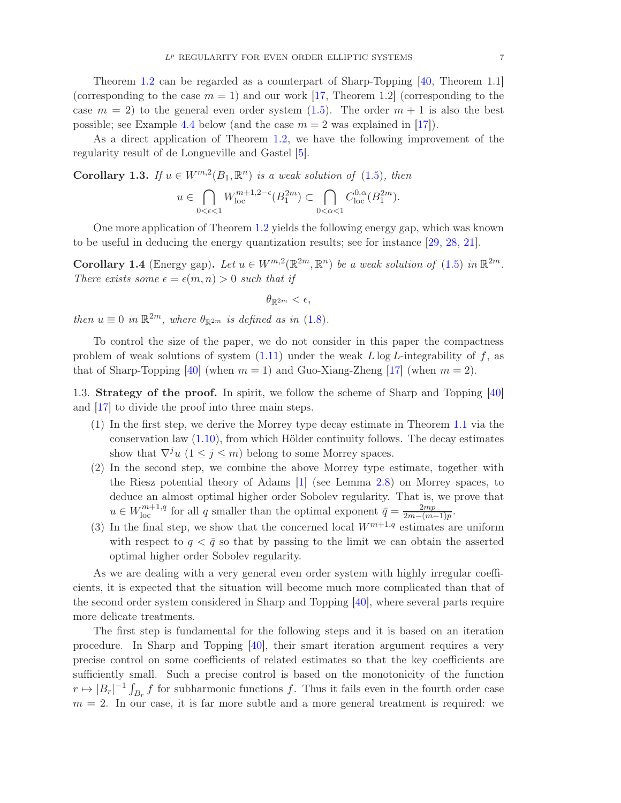Theorem [1.2](#page-5-2) can be regarded as a counterpart of Sharp-Topping [\[40,](#page-36-1) Theorem 1.1] (corresponding to the case  $m = 1$ ) and our work [\[17,](#page-35-6) Theorem 1.2] (corresponding to the case  $m = 2$ ) to the general even order system [\(1.5\)](#page-2-1). The order  $m + 1$  is also the best possible; see Example [4.4](#page-24-0) below (and the case  $m = 2$  was explained in [\[17\]](#page-35-6)).

As a direct application of Theorem [1.2,](#page-5-2) we have the following improvement of the regularity result of de Longueville and Gastel [\[5\]](#page-34-0).

**Corollary 1.3.** If  $u \in W^{m,2}(B_1,\mathbb{R}^n)$  is a weak solution of [\(1.5\)](#page-2-1), then

$$
u \in \bigcap_{0 < \epsilon < 1} W_{\text{loc}}^{m+1,2-\epsilon}(B_1^{2m}) \subset \bigcap_{0 < \alpha < 1} C_{\text{loc}}^{0,\alpha}(B_1^{2m}).
$$

One more application of Theorem [1.2](#page-5-2) yields the following energy gap, which was known to be useful in deducing the energy quantization results; see for instance [\[29,](#page-35-13) [28,](#page-35-7) [21\]](#page-35-9).

<span id="page-6-0"></span>**Corollary 1.4** (Energy gap). Let  $u \in W^{m,2}(\mathbb{R}^{2m}, \mathbb{R}^n)$  be a weak solution of [\(1.5\)](#page-2-1) in  $\mathbb{R}^{2m}$ . There exists some  $\epsilon = \epsilon(m, n) > 0$  such that if

$$
\theta_{\mathbb{R}^{2m}} < \epsilon,
$$

then  $u \equiv 0$  in  $\mathbb{R}^{2m}$ , where  $\theta_{\mathbb{R}^{2m}}$  is defined as in [\(1.8\)](#page-3-2).

To control the size of the paper, we do not consider in this paper the compactness problem of weak solutions of system  $(1.11)$  under the weak L log L-integrability of f, as that of Sharp-Topping [\[40\]](#page-36-1) (when  $m = 1$ ) and Guo-Xiang-Zheng [\[17\]](#page-35-6) (when  $m = 2$ ).

1.3. Strategy of the proof. In spirit, we follow the scheme of Sharp and Topping [\[40\]](#page-36-1) and [\[17\]](#page-35-6) to divide the proof into three main steps.

- (1) In the first step, we derive the Morrey type decay estimate in Theorem [1.1](#page-5-0) via the conservation law [\(1.10\)](#page-3-0), from which Hölder continuity follows. The decay estimates show that  $\nabla^j u$   $(1 \leq j \leq m)$  belong to some Morrey spaces.
- (2) In the second step, we combine the above Morrey type estimate, together with the Riesz potential theory of Adams [\[1\]](#page-34-3) (see Lemma [2.8\)](#page-10-0) on Morrey spaces, to deduce an almost optimal higher order Sobolev regularity. That is, we prove that  $u \in W_{\text{loc}}^{m+1,q}$  for all q smaller than the optimal exponent  $\bar{q} = \frac{2mp}{2m - (m+1)q}$  $\frac{2mp}{2m-(m-1)p}.$
- (3) In the final step, we show that the concerned local  $W^{m+1,q}$  estimates are uniform with respect to  $q < \bar{q}$  so that by passing to the limit we can obtain the asserted optimal higher order Sobolev regularity.

As we are dealing with a very general even order system with highly irregular coefficients, it is expected that the situation will become much more complicated than that of the second order system considered in Sharp and Topping [\[40\]](#page-36-1), where several parts require more delicate treatments.

The first step is fundamental for the following steps and it is based on an iteration procedure. In Sharp and Topping [\[40\]](#page-36-1), their smart iteration argument requires a very precise control on some coefficients of related estimates so that the key coefficients are sufficiently small. Such a precise control is based on the monotonicity of the function  $r \mapsto |B_r|^{-1} \int_{B_r} f$  for subharmonic functions f. Thus it fails even in the fourth order case  $m = 2$ . In our case, it is far more subtle and a more general treatment is required: we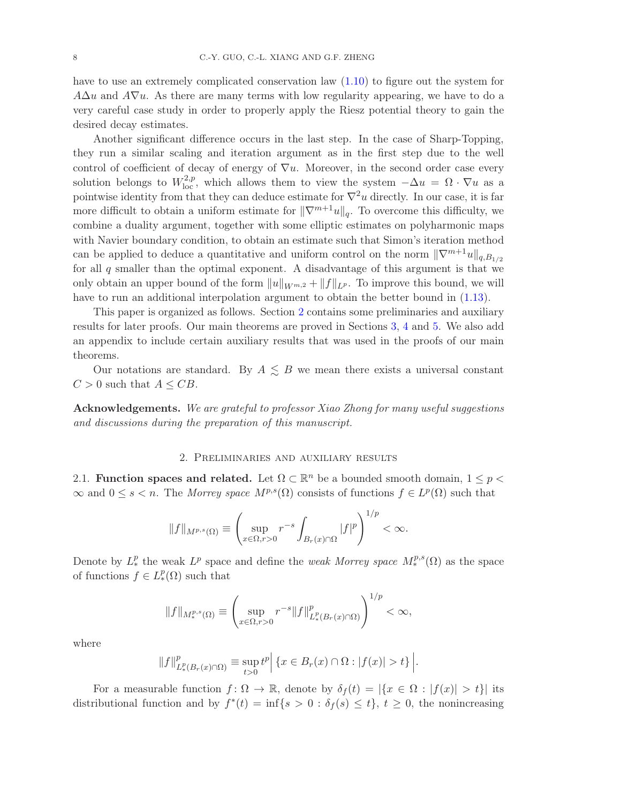have to use an extremely complicated conservation law [\(1.10\)](#page-3-0) to figure out the system for  $A\Delta u$  and  $A\nabla u$ . As there are many terms with low regularity appearing, we have to do a very careful case study in order to properly apply the Riesz potential theory to gain the desired decay estimates.

Another significant difference occurs in the last step. In the case of Sharp-Topping, they run a similar scaling and iteration argument as in the first step due to the well control of coefficient of decay of energy of  $\nabla u$ . Moreover, in the second order case every solution belongs to  $W^{2,p}_{loc}$ , which allows them to view the system  $-\Delta u = \Omega \cdot \nabla u$  as a pointwise identity from that they can deduce estimate for  $\nabla^2 u$  directly. In our case, it is far more difficult to obtain a uniform estimate for  $\|\nabla^{m+1}u\|_q$ . To overcome this difficulty, we combine a duality argument, together with some elliptic estimates on polyharmonic maps with Navier boundary condition, to obtain an estimate such that Simon's iteration method can be applied to deduce a quantitative and uniform control on the norm  $\|\nabla^{m+1}u\|_{q,B_{1/2}}$ for all  $q$  smaller than the optimal exponent. A disadvantage of this argument is that we only obtain an upper bound of the form  $||u||_{W^{m,2}} + ||f||_{L^p}$ . To improve this bound, we will have to run an additional interpolation argument to obtain the better bound in [\(1.13\)](#page-5-3).

This paper is organized as follows. Section [2](#page-7-0) contains some preliminaries and auxiliary results for later proofs. Our main theorems are proved in Sections [3,](#page-11-0) [4](#page-19-0) and [5.](#page-25-0) We also add an appendix to include certain auxiliary results that was used in the proofs of our main theorems.

Our notations are standard. By  $A \leq B$  we mean there exists a universal constant  $C > 0$  such that  $A \leq CB$ .

<span id="page-7-0"></span>Acknowledgements. We are grateful to professor Xiao Zhong for many useful suggestions and discussions during the preparation of this manuscript.

## 2. Preliminaries and auxiliary results

2.1. Function spaces and related. Let  $\Omega \subset \mathbb{R}^n$  be a bounded smooth domain,  $1 \leq p <$  $\infty$  and  $0 \leq s < n$ . The Morrey space  $M^{p,s}(\Omega)$  consists of functions  $f \in L^p(\Omega)$  such that

$$
||f||_{M^{p,s}(\Omega)} \equiv \left(\sup_{x \in \Omega, r>0} r^{-s} \int_{B_r(x) \cap \Omega} |f|^p \right)^{1/p} < \infty.
$$

Denote by  $L^p_*$  the weak  $L^p$  space and define the *weak Morrey space*  $M^{p,s}_*(\Omega)$  as the space of functions  $f \in L_*^p(\Omega)$  such that

$$
||f||_{M_*^{p,s}(\Omega)} \equiv \left(\sup_{x \in \Omega, r>0} r^{-s} ||f||^p_{L_*^p(B_r(x) \cap \Omega)}\right)^{1/p} < \infty,
$$

where

$$
||f||_{L^p_*(B_r(x)\cap\Omega)}^p \equiv \sup_{t>0} t^p | \{x \in B_r(x) \cap \Omega : |f(x)| > t\} |.
$$

For a measurable function  $f: \Omega \to \mathbb{R}$ , denote by  $\delta_f(t) = |\{x \in \Omega : |f(x)| > t\}|$  its distributional function and by  $f^*(t) = \inf\{s > 0 : \delta_f(s) \leq t\}, t \geq 0$ , the nonincreasing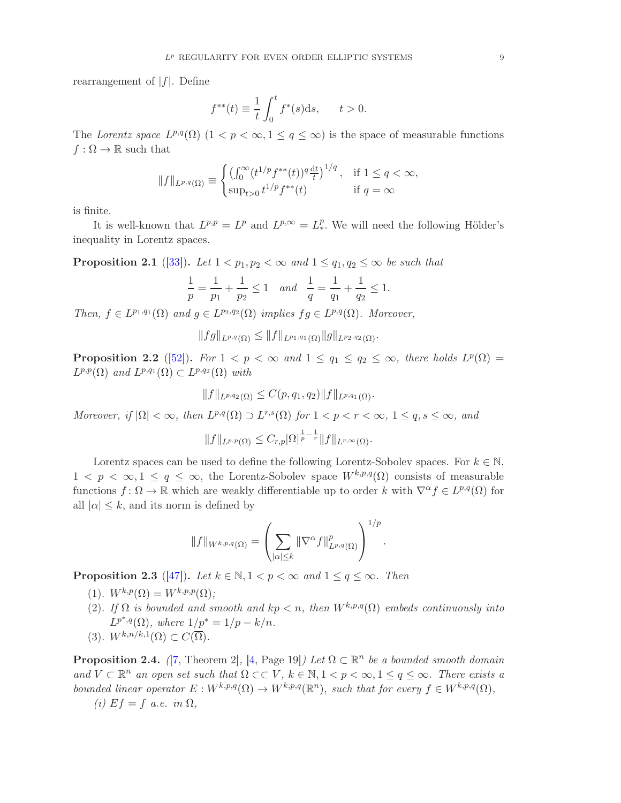rearrangement of  $|f|$ . Define

$$
f^{**}(t) \equiv \frac{1}{t} \int_0^t f^*(s) ds, \quad t > 0.
$$

The Lorentz space  $L^{p,q}(\Omega)$   $(1 < p < \infty, 1 \le q \le \infty)$  is the space of measurable functions  $f : \Omega \to \mathbb{R}$  such that

$$
||f||_{L^{p,q}(\Omega)} \equiv \begin{cases} \left(\int_0^\infty (t^{1/p} f^{**}(t))^q \frac{dt}{t}\right)^{1/q}, & \text{if } 1 \le q < \infty, \\ \sup_{t>0} t^{1/p} f^{**}(t) & \text{if } q = \infty \end{cases}
$$

is finite.

It is well-known that  $L^{p,p} = L^p$  and  $L^{p,\infty} = L^p_*$ . We will need the following Hölder's inequality in Lorentz spaces.

**Proposition 2.1** ([\[33\]](#page-35-14)). Let  $1 < p_1, p_2 < \infty$  and  $1 \le q_1, q_2 \le \infty$  be such that

$$
\frac{1}{p} = \frac{1}{p_1} + \frac{1}{p_2} \le 1 \quad and \quad \frac{1}{q} = \frac{1}{q_1} + \frac{1}{q_2} \le 1.
$$

Then,  $f \in L^{p_1,q_1}(\Omega)$  and  $g \in L^{p_2,q_2}(\Omega)$  implies  $fg \in L^{p,q}(\Omega)$ . Moreover,

$$
||fg||_{L^{p,q}(\Omega)} \leq ||f||_{L^{p_1,q_1}(\Omega)} ||g||_{L^{p_2,q_2}(\Omega)}.
$$

<span id="page-8-0"></span>**Proposition 2.2** ([\[52\]](#page-36-11)). For  $1 < p < \infty$  and  $1 \le q_1 \le q_2 \le \infty$ , there holds  $L^p(\Omega) =$  $L^{p,p}(\Omega)$  and  $L^{p,q_1}(\Omega) \subset L^{p,q_2}(\Omega)$  with

$$
||f||_{L^{p,q_2}(\Omega)} \leq C(p,q_1,q_2)||f||_{L^{p,q_1}(\Omega)}.
$$

Moreover, if  $|\Omega| < \infty$ , then  $L^{p,q}(\Omega) \supset L^{r,s}(\Omega)$  for  $1 < p < r < \infty$ ,  $1 \le q, s \le \infty$ , and

$$
||f||_{L^{p,p}(\Omega)} \leq C_{r,p} |\Omega|^{\frac{1}{p}-\frac{1}{r}} ||f||_{L^{r,\infty}(\Omega)}.
$$

Lorentz spaces can be used to define the following Lorentz-Sobolev spaces. For  $k \in \mathbb{N}$ ,  $1 \leq p \leq \infty, 1 \leq q \leq \infty$ , the Lorentz-Sobolev space  $W^{k,p,q}(\Omega)$  consists of measurable functions  $f: \Omega \to \mathbb{R}$  which are weakly differentiable up to order k with  $\nabla^{\alpha} f \in L^{p,q}(\Omega)$  for all  $|\alpha| \leq k$ , and its norm is defined by

$$
||f||_{W^{k,p,q}(\Omega)} = \left(\sum_{|\alpha| \leq k} ||\nabla^{\alpha} f||^p_{L^{p,q}(\Omega)}\right)^{1/p}.
$$

**Proposition 2.3** ([\[47\]](#page-36-12)). Let  $k \in \mathbb{N}, 1 \le p \le \infty$  and  $1 \le q \le \infty$ . Then

- (1).  $W^{k,p}(\Omega) = W^{k,p,p}(\Omega)$ ;
- (2). If  $\Omega$  is bounded and smooth and  $kp < n$ , then  $W^{k,p,q}(\Omega)$  embeds continuously into  $L^{p^*,q}(\Omega)$ , where  $1/p^* = 1/p - k/n$ .
- (3).  $W^{k,n/k,1}(\Omega) \subset C(\overline{\Omega})$ .

**Proposition 2.4.** ([\[7,](#page-34-4) Theorem 2], [\[4,](#page-34-5) Page 19]) Let  $\Omega \subset \mathbb{R}^n$  be a bounded smooth domain and  $V \subset \mathbb{R}^n$  an open set such that  $\Omega \subset \subset V$ ,  $k \in \mathbb{N}, 1 \le p \le \infty, 1 \le q \le \infty$ . There exists a bounded linear operator  $E: W^{k,p,q}(\Omega) \to W^{k,p,q}(\mathbb{R}^n)$ , such that for every  $f \in W^{k,p,q}(\Omega)$ ,

(i)  $Ef = f$  a.e. in  $\Omega$ ,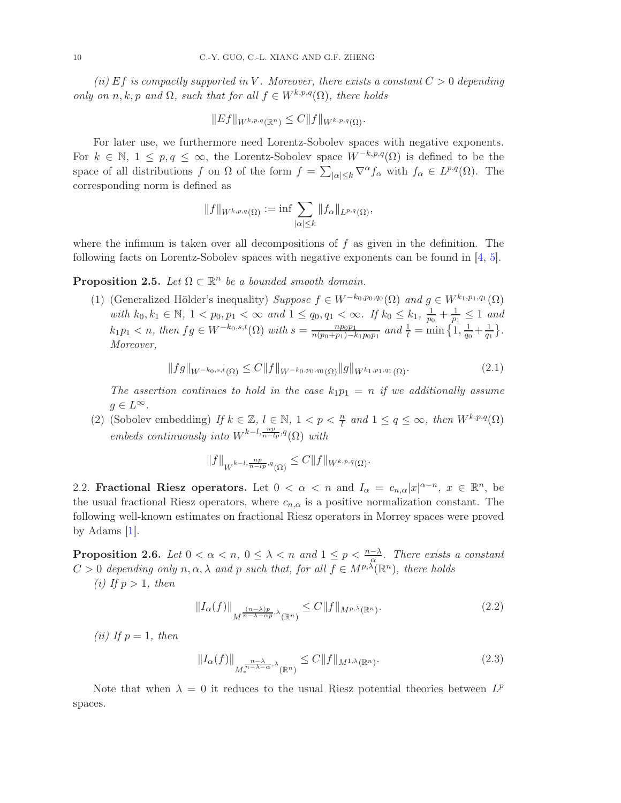(ii) Ef is compactly supported in V. Moreover, there exists a constant  $C > 0$  depending only on n, k, p and  $\Omega$ , such that for all  $f \in W^{k,p,q}(\Omega)$ , there holds

$$
||Ef||_{W^{k,p,q}(\mathbb{R}^n)} \leq C||f||_{W^{k,p,q}(\Omega)}.
$$

For later use, we furthermore need Lorentz-Sobolev spaces with negative exponents. For  $k \in \mathbb{N}, 1 \le p, q \le \infty$ , the Lorentz-Sobolev space  $W^{-k,p,q}(\Omega)$  is defined to be the space of all distributions f on  $\Omega$  of the form  $f = \sum_{|\alpha| \leq k} \nabla^{\alpha} f_{\alpha}$  with  $f_{\alpha} \in L^{p,q}(\Omega)$ . The corresponding norm is defined as

$$
||f||_{W^{k,p,q}(\Omega)} := \inf \sum_{|\alpha| \leq k} ||f_\alpha||_{L^{p,q}(\Omega)},
$$

where the infimum is taken over all decompositions of  $f$  as given in the definition. The following facts on Lorentz-Sobolev spaces with negative exponents can be found in [\[4,](#page-34-5) [5\]](#page-34-0).

<span id="page-9-0"></span>**Proposition 2.5.** Let  $\Omega \subset \mathbb{R}^n$  be a bounded smooth domain.

(1) (Generalized Hölder's inequality) Suppose  $f \in W^{-k_0,p_0,q_0}(\Omega)$  and  $g \in W^{k_1,p_1,q_1}(\Omega)$ with  $k_0, k_1 \in \mathbb{N}, 1 < p_0, p_1 < \infty$  and  $1 \leq q_0, q_1 < \infty$ . If  $k_0 \leq k_1, \frac{1}{p_0}$  $\frac{1}{p_0}+\frac{1}{p_1}$  $\frac{1}{p_1} \leq 1$  and  $k_1p_1 < n$ , then  $fg \in W^{-k_0,s,t}(\Omega)$  with  $s = \frac{np_0p_1}{n(p_0+n_1)-k_0}$  $\frac{np_0p_1}{n(p_0+p_1)-k_1p_0p_1}$  and  $\frac{1}{t} = \min\left\{1, \frac{1}{q_0}\right\}$  $\frac{1}{q_0} + \frac{1}{q_1}$  $\frac{1}{q_1}$ . Moreover,

$$
||fg||_{W^{-k_0,s,t}(\Omega)} \leq C||f||_{W^{-k_0,p_0,q_0}(\Omega)}||g||_{W^{k_1,p_1,q_1}(\Omega)}.
$$
\n(2.1)

The assertion continues to hold in the case  $k_1p_1 = n$  if we additionally assume  $g \in L^{\infty}.$ 

(2) (Sobolev embedding) If  $k \in \mathbb{Z}$ ,  $l \in \mathbb{N}$ ,  $1 < p < \frac{n}{l}$  and  $1 \le q \le \infty$ , then  $W^{k,p,q}(\Omega)$ embeds continuously into  $W^{k-l,\frac{np}{n-lp},q}(\Omega)$  with

$$
||f||_{W^{k-l,\frac{np}{n-lp},q}(\Omega)} \leq C||f||_{W^{k,p,q}(\Omega)}.
$$

2.2. Fractional Riesz operators. Let  $0 < \alpha < n$  and  $I_{\alpha} = c_{n,\alpha}|x|^{\alpha-n}$ ,  $x \in \mathbb{R}^n$ , be the usual fractional Riesz operators, where  $c_{n,\alpha}$  is a positive normalization constant. The following well-known estimates on fractional Riesz operators in Morrey spaces were proved by Adams [\[1\]](#page-34-3).

**Proposition 2.6.** Let  $0 < \alpha < n$ ,  $0 \leq \lambda < n$  and  $1 \leq p < \frac{n-\lambda}{\alpha}$ . There exists a constant  $C > 0$  depending only  $n, \alpha, \lambda$  and p such that, for all  $f \in M^{p,\lambda}(\mathbb{R}^n)$ , there holds

(i) If  $p > 1$ , then

$$
||I_{\alpha}(f)||_{\underset{M}{M^{\frac{(n-\lambda)p}{n-\lambda-\alpha p}}},\lambda_{(\mathbb{R}^n)}} \leq C||f||_{M^{p,\lambda}(\mathbb{R}^n)}.
$$
\n(2.2)

(ii) If  $p = 1$ , then

$$
||I_{\alpha}(f)||_{M_{*}^{\frac{n-\lambda}{n-\lambda-\alpha},\lambda}(\mathbb{R}^{n})} \leq C||f||_{M^{1,\lambda}(\mathbb{R}^{n})}.
$$
\n(2.3)

Note that when  $\lambda = 0$  it reduces to the usual Riesz potential theories between  $L^p$ spaces.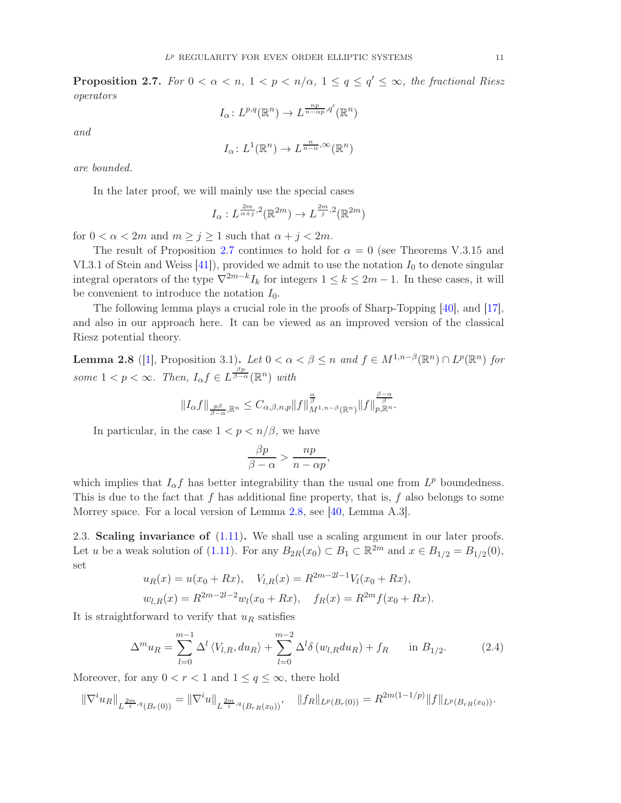<span id="page-10-1"></span>**Proposition 2.7.** For  $0 < \alpha < n$ ,  $1 < p < n/\alpha$ ,  $1 \le q \le q' \le \infty$ , the fractional Riesz operators

$$
I_{\alpha} \colon L^{p,q}(\mathbb{R}^n) \to L^{\frac{np}{n-\alpha p},q'}(\mathbb{R}^n)
$$

and

$$
I_{\alpha} \colon L^{1}(\mathbb{R}^{n}) \to L^{\frac{n}{n-\alpha}, \infty}(\mathbb{R}^{n})
$$

are bounded.

In the later proof, we will mainly use the special cases

$$
I_{\alpha}: L^{\frac{2m}{\alpha+j},2}(\mathbb{R}^{2m}) \to L^{\frac{2m}{j},2}(\mathbb{R}^{2m})
$$

for  $0 < \alpha < 2m$  and  $m \ge j \ge 1$  such that  $\alpha + j < 2m$ .

The result of Proposition [2.7](#page-10-1) continues to hold for  $\alpha = 0$  (see Theorems V.3.15 and VI.3.1 of Stein and Weiss  $[41]$ , provided we admit to use the notation  $I_0$  to denote singular integral operators of the type  $\nabla^{2m-k} I_k$  for integers  $1 \leq k \leq 2m-1$ . In these cases, it will be convenient to introduce the notation  $I_0$ .

The following lemma plays a crucial role in the proofs of Sharp-Topping [\[40\]](#page-36-1), and [\[17\]](#page-35-6), and also in our approach here. It can be viewed as an improved version of the classical Riesz potential theory.

<span id="page-10-0"></span>**Lemma 2.8** ([\[1\]](#page-34-3), Proposition 3.1). Let  $0 < \alpha < \beta \leq n$  and  $f \in M^{1,n-\beta}(\mathbb{R}^n) \cap L^p(\mathbb{R}^n)$  for some  $1 < p < \infty$ . Then,  $I_{\alpha} f \in L^{\frac{\beta p}{\beta - \alpha}}(\mathbb{R}^n)$  with

$$
||I_{\alpha}f||_{\frac{p\beta}{\beta-\alpha},\mathbb{R}^n}\leq C_{\alpha,\beta,n,p}||f||_{M^{1,n-\beta}(\mathbb{R}^n)}^{\frac{\alpha}{\beta}}||f||_{p,\mathbb{R}^n}^{\frac{\beta-\alpha}{\beta}}.
$$

In particular, in the case  $1 < p < n/\beta$ , we have

$$
\frac{\beta p}{\beta - \alpha} > \frac{np}{n - \alpha p},
$$

which implies that  $I_{\alpha}f$  has better integrability than the usual one from  $L^p$  boundedness. This is due to the fact that f has additional fine property, that is, f also belongs to some Morrey space. For a local version of Lemma [2.8,](#page-10-0) see [\[40,](#page-36-1) Lemma A.3].

<span id="page-10-2"></span>2.3. Scaling invariance of [\(1.11\)](#page-4-0). We shall use a scaling argument in our later proofs. Let u be a weak solution of [\(1.11\)](#page-4-0). For any  $B_{2R}(x_0) \subset B_1 \subset \mathbb{R}^{2m}$  and  $x \in B_{1/2} = B_{1/2}(0)$ , set

$$
u_R(x) = u(x_0 + Rx), \quad V_{l,R}(x) = R^{2m-2l-1} V_l(x_0 + Rx),
$$
  

$$
w_{l,R}(x) = R^{2m-2l-2} w_l(x_0 + Rx), \quad f_R(x) = R^{2m} f(x_0 + Rx).
$$

It is straightforward to verify that  $u_R$  satisfies

$$
\Delta^{m} u_{R} = \sum_{l=0}^{m-1} \Delta^{l} \langle V_{l,R}, du_{R} \rangle + \sum_{l=0}^{m-2} \Delta^{l} \delta \left( w_{l,R} du_{R} \right) + f_{R} \quad \text{in } B_{1/2}.
$$
 (2.4)

Moreover, for any  $0 < r < 1$  and  $1 \le q \le \infty$ , there hold

$$
\|\nabla^i u_R\|_{L^{\frac{2m}{i},q}(B_r(0))} = \|\nabla^i u\|_{L^{\frac{2m}{i},q}(B_{rR}(x_0))}, \quad \|f_R\|_{L^p(B_r(0))} = R^{2m(1-1/p)}\|f\|_{L^p(B_{rR}(x_0))}.
$$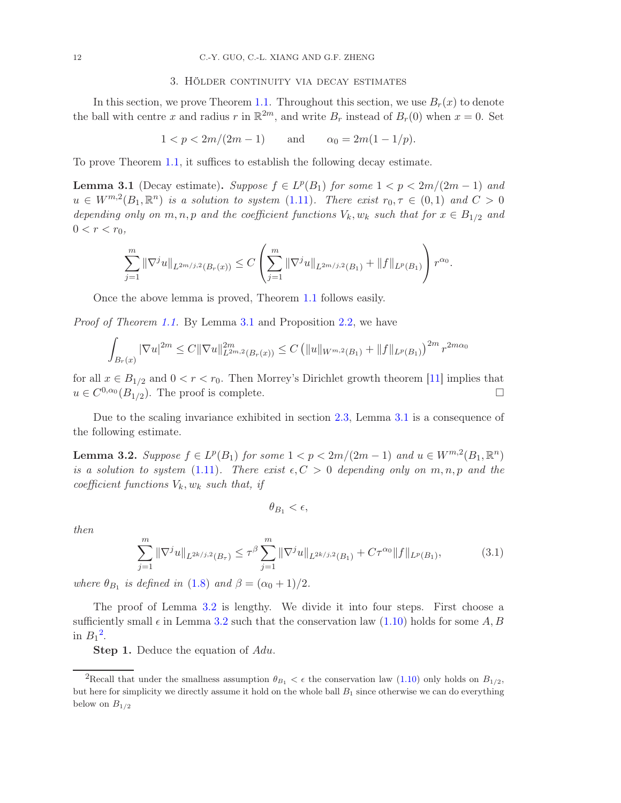### 3. Hölder continuity via decay estimates

<span id="page-11-0"></span>In this section, we prove Theorem [1.1.](#page-5-0) Throughout this section, we use  $B_r(x)$  to denote the ball with centre x and radius r in  $\mathbb{R}^{2m}$ , and write  $B_r$  instead of  $B_r(0)$  when  $x = 0$ . Set

$$
1 < p < 2m/(2m - 1)
$$
 and  $\alpha_0 = 2m(1 - 1/p)$ .

To prove Theorem [1.1,](#page-5-0) it suffices to establish the following decay estimate.

<span id="page-11-1"></span>**Lemma 3.1** (Decay estimate). Suppose  $f \in L^p(B_1)$  for some  $1 < p < 2m/(2m-1)$  and  $u \in W^{m,2}(B_1,\mathbb{R}^n)$  is a solution to system [\(1.11\)](#page-4-0). There exist  $r_0, \tau \in (0,1)$  and  $C > 0$ depending only on m, n, p and the coefficient functions  $V_k$ ,  $w_k$  such that for  $x \in B_{1/2}$  and  $0 < r < r_0$ ,

$$
\sum_{j=1}^m \|\nabla^j u\|_{L^{2m/j,2}(B_r(x))} \leq C \left( \sum_{j=1}^m \|\nabla^j u\|_{L^{2m/j,2}(B_1)} + \|f\|_{L^p(B_1)} \right) r^{\alpha_0}.
$$

Once the above lemma is proved, Theorem [1.1](#page-5-0) follows easily.

Proof of Theorem [1.1.](#page-5-0) By Lemma [3.1](#page-11-1) and Proposition [2.2,](#page-8-0) we have

$$
\int_{B_r(x)} |\nabla u|^{2m} \le C ||\nabla u||_{L^{2m,2}(B_r(x))}^{2m} \le C \left( ||u||_{W^{m,2}(B_1)} + ||f||_{L^p(B_1)} \right)^{2m} r^{2m\alpha_0}
$$

for all  $x \in B_{1/2}$  and  $0 < r < r_0$ . Then Morrey's Dirichlet growth theorem [\[11\]](#page-35-15) implies that  $u \in C^{0,\alpha_0}(B_{1/2})$ . The proof is complete.

Due to the scaling invariance exhibited in section [2.3,](#page-10-2) Lemma [3.1](#page-11-1) is a consequence of the following estimate.

<span id="page-11-2"></span>**Lemma 3.2.** Suppose  $f \in L^p(B_1)$  for some  $1 < p < 2m/(2m-1)$  and  $u \in W^{m,2}(B_1,\mathbb{R}^n)$ is a solution to system [\(1.11\)](#page-4-0). There exist  $\epsilon, C > 0$  depending only on  $m, n, p$  and the coefficient functions  $V_k$ ,  $w_k$  such that, if

$$
\theta_{B_1} < \epsilon,
$$

then

<span id="page-11-4"></span>
$$
\sum_{j=1}^{m} \|\nabla^{j} u\|_{L^{2k/j,2}(B_{\tau})} \leq \tau^{\beta} \sum_{j=1}^{m} \|\nabla^{j} u\|_{L^{2k/j,2}(B_{1})} + C\tau^{\alpha_{0}} \|f\|_{L^{p}(B_{1})},
$$
(3.1)

where  $\theta_{B_1}$  is defined in [\(1.8\)](#page-3-2) and  $\beta = (\alpha_0 + 1)/2$ .

The proof of Lemma [3.2](#page-11-2) is lengthy. We divide it into four steps. First choose a sufficiently small  $\epsilon$  in Lemma [3.2](#page-11-2) such that the conservation law [\(1.10\)](#page-3-0) holds for some A, B in  $B_1^2$  $B_1^2$ .

**Step 1.** Deduce the equation of Adu.

<span id="page-11-3"></span><sup>&</sup>lt;sup>2</sup>Recall that under the smallness assumption  $\theta_{B_1} < \epsilon$  the conservation law [\(1.10\)](#page-3-0) only holds on  $B_{1/2}$ , but here for simplicity we directly assume it hold on the whole ball  $B_1$  since otherwise we can do everything below on  $B_{1/2}$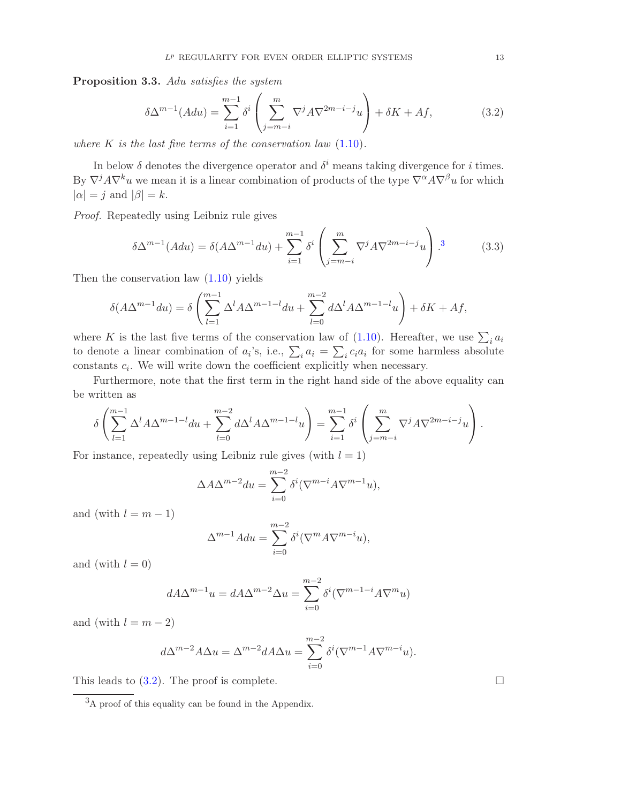<span id="page-12-3"></span>Proposition 3.3. Adu satisfies the system

<span id="page-12-2"></span>
$$
\delta \Delta^{m-1}(A du) = \sum_{i=1}^{m-1} \delta^i \left( \sum_{j=m-i}^m \nabla^j A \nabla^{2m-i-j} u \right) + \delta K + Af,\tag{3.2}
$$

where  $K$  is the last five terms of the conservation law  $(1.10)$ .

In below  $\delta$  denotes the divergence operator and  $\delta^i$  means taking divergence for i times. By  $\nabla^j A \nabla^k u$  we mean it is a linear combination of products of the type  $\nabla^{\alpha} A \nabla^{\beta} u$  for which  $|\alpha| = j$  and  $|\beta| = k$ .

Proof. Repeatedly using Leibniz rule gives

<span id="page-12-0"></span>
$$
\delta \Delta^{m-1}(A du) = \delta (A \Delta^{m-1} du) + \sum_{i=1}^{m-1} \delta^i \left( \sum_{j=m-i}^m \nabla^j A \nabla^{2m-i-j} u \right).
$$
 (3.3)

Then the conservation law [\(1.10\)](#page-3-0) yields

$$
\delta(A\Delta^{m-1}du) = \delta\left(\sum_{l=1}^{m-1} \Delta^l A \Delta^{m-1-l} du + \sum_{l=0}^{m-2} d\Delta^l A \Delta^{m-1-l}u\right) + \delta K + Af,
$$

where K is the last five terms of the conservation law of  $(1.10)$ . Hereafter, we use  $\sum_i a_i$ to denote a linear combination of  $a_i$ 's, i.e.,  $\sum_i a_i = \sum_i c_i a_i$  for some harmless absolute constants  $c_i$ . We will write down the coefficient explicitly when necessary.

Furthermore, note that the first term in the right hand side of the above equality can be written as

$$
\delta\left(\sum_{l=1}^{m-1} \Delta^l A \Delta^{m-1-l} du + \sum_{l=0}^{m-2} d \Delta^l A \Delta^{m-1-l} u\right) = \sum_{i=1}^{m-1} \delta^i \left(\sum_{j=m-i}^m \nabla^j A \nabla^{2m-i-j} u\right).
$$

For instance, repeatedly using Leibniz rule gives (with  $l = 1$ )

$$
\Delta A \Delta^{m-2} du = \sum_{i=0}^{m-2} \delta^i (\nabla^{m-i} A \nabla^{m-1} u),
$$

and (with  $l = m - 1$ )

$$
\Delta^{m-1} A du = \sum_{i=0}^{m-2} \delta^i (\nabla^m A \nabla^{m-i} u),
$$

and (with  $l = 0$ )

$$
dA\Delta^{m-1}u = dA\Delta^{m-2}\Delta u = \sum_{i=0}^{m-2} \delta^i(\nabla^{m-1-i}A\nabla^m u)
$$

and (with  $l = m - 2$ )

$$
d\Delta^{m-2}A\Delta u = \Delta^{m-2}dA\Delta u = \sum_{i=0}^{m-2} \delta^i(\nabla^{m-1}A\nabla^{m-i}u).
$$

This leads to  $(3.2)$ . The proof is complete.

<span id="page-12-1"></span><sup>3</sup>A proof of this equality can be found in the Appendix.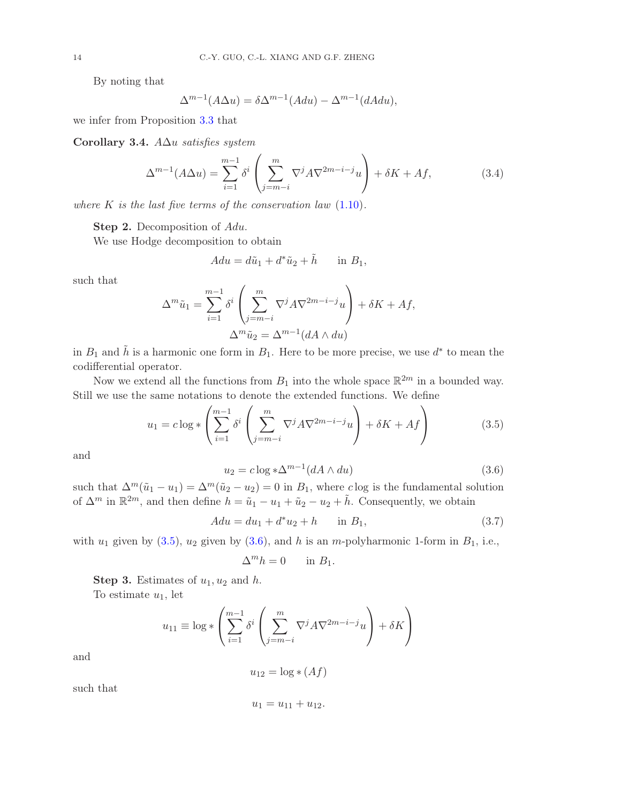By noting that

$$
\Delta^{m-1}(A\Delta u) = \delta \Delta^{m-1}(A du) - \Delta^{m-1}(dA du),
$$

we infer from Proposition [3.3](#page-12-3) that

<span id="page-13-2"></span>Corollary 3.4. A∆u satisfies system

$$
\Delta^{m-1}(A\Delta u) = \sum_{i=1}^{m-1} \delta^i \left( \sum_{j=m-i}^m \nabla^j A \nabla^{2m-i-j} u \right) + \delta K + Af,\tag{3.4}
$$

where  $K$  is the last five terms of the conservation law  $(1.10)$ .

Step 2. Decomposition of Adu.

We use Hodge decomposition to obtain

$$
Adu = d\tilde{u}_1 + d^*\tilde{u}_2 + \tilde{h} \quad \text{in } B_1,
$$

such that

$$
\Delta^m \tilde{u}_1 = \sum_{i=1}^{m-1} \delta^i \left( \sum_{j=m-i}^m \nabla^j A \nabla^{2m-i-j} u \right) + \delta K + Af,
$$
  

$$
\Delta^m \tilde{u}_2 = \Delta^{m-1} (dA \wedge du)
$$

in  $B_1$  and  $\tilde{h}$  is a harmonic one form in  $B_1$ . Here to be more precise, we use  $d^*$  to mean the codifferential operator.

Now we extend all the functions from  $B_1$  into the whole space  $\mathbb{R}^{2m}$  in a bounded way. Still we use the same notations to denote the extended functions. We define

<span id="page-13-0"></span>
$$
u_1 = c \log \ast \left( \sum_{i=1}^{m-1} \delta^i \left( \sum_{j=m-i}^m \nabla^j A \nabla^{2m-i-j} u \right) + \delta K + Af \right) \tag{3.5}
$$

and

<span id="page-13-1"></span>
$$
u_2 = c \log \ast \Delta^{m-1} (dA \wedge du) \tag{3.6}
$$

such that  $\Delta^m(\tilde{u}_1 - u_1) = \Delta^m(\tilde{u}_2 - u_2) = 0$  in  $B_1$ , where clog is the fundamental solution of  $\Delta^m$  in  $\mathbb{R}^{2m}$ , and then define  $h = \tilde{u}_1 - u_1 + \tilde{u}_2 - u_2 + \tilde{h}$ . Consequently, we obtain

$$
A du = du_1 + d^* u_2 + h \quad \text{in } B_1,\tag{3.7}
$$

with  $u_1$  given by [\(3.5\)](#page-13-0),  $u_2$  given by [\(3.6\)](#page-13-1), and h is an m-polyharmonic 1-form in  $B_1$ , i.e.,

$$
\Delta^m h = 0 \quad \text{in } B_1.
$$

**Step 3.** Estimates of  $u_1, u_2$  and h.

To estimate  $u_1$ , let

$$
u_{11} \equiv \log * \left( \sum_{i=1}^{m-1} \delta^i \left( \sum_{j=m-i}^m \nabla^j A \nabla^{2m-i-j} u \right) + \delta K \right)
$$

and

$$
u_{12} = \log * (Af)
$$

such that

$$
u_1 = u_{11} + u_{12}.
$$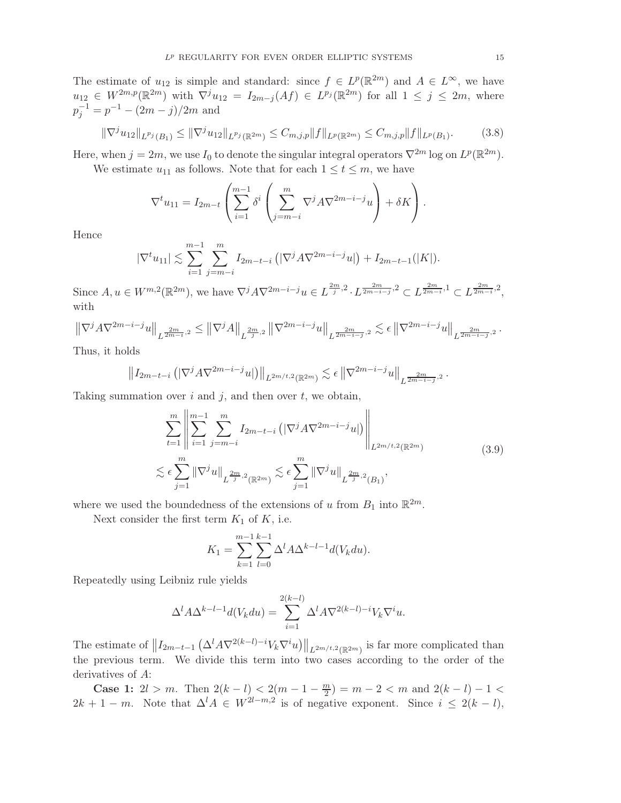The estimate of  $u_{12}$  is simple and standard: since  $f \in L^p(\mathbb{R}^{2m})$  and  $A \in L^{\infty}$ , we have  $u_{12} \in W^{2m,p}(\mathbb{R}^{2m})$  with  $\nabla^j u_{12} = I_{2m-j}(Af) \in L^{p_j}(\mathbb{R}^{2m})$  for all  $1 \leq j \leq 2m$ , where  $p_j^{-1} = p^{-1} - (2m - j)/2m$  and

<span id="page-14-1"></span>
$$
\|\nabla^j u_{12}\|_{L^{p_j}(B_1)} \le \|\nabla^j u_{12}\|_{L^{p_j}(\mathbb{R}^{2m})} \le C_{m,j,p} \|f\|_{L^p(\mathbb{R}^{2m})} \le C_{m,j,p} \|f\|_{L^p(B_1)}.
$$
 (3.8)

Here, when  $j = 2m$ , we use  $I_0$  to denote the singular integral operators  $\nabla^{2m}$  log on  $L^p(\mathbb{R}^{2m})$ .

We estimate  $u_{11}$  as follows. Note that for each  $1 \le t \le m$ , we have

$$
\nabla^t u_{11} = I_{2m-t} \left( \sum_{i=1}^{m-1} \delta^i \left( \sum_{j=m-i}^m \nabla^j A \nabla^{2m-i-j} u \right) + \delta K \right).
$$

Hence

$$
|\nabla^t u_{11}| \lesssim \sum_{i=1}^{m-1} \sum_{j=m-i}^m I_{2m-t-i} \left( |\nabla^j A \nabla^{2m-i-j} u| \right) + I_{2m-t-1}(|K|).
$$

Since  $A, u \in W^{m,2}(\mathbb{R}^{2m})$ , we have  $\nabla^j A \nabla^{2m-i-j} u \in L^{\frac{2m}{j},2} \cdot L^{\frac{2m}{2m-i-j},2} \subset L^{\frac{2m}{2m-i},1} \subset L^{\frac{2m}{2m-i},2}$ , with

$$
\left\| \nabla^j A \nabla^{2m-i-j} u \right\|_{L^{\frac{2m}{2m-i},2}} \leq \left\| \nabla^j A \right\|_{L^{\frac{2m}{j},2}} \left\| \nabla^{2m-i-j} u \right\|_{L^{\frac{2m}{2m-i-j},2}} \lesssim \epsilon \left\| \nabla^{2m-i-j} u \right\|_{L^{\frac{2m}{2m-i-j},2}}.
$$

Thus, it holds

$$
||I_{2m-t-i} (|\nabla^j A \nabla^{2m-i-j} u|) ||_{L^{2m/t,2}(\mathbb{R}^{2m})} \lesssim \epsilon ||\nabla^{2m-i-j} u||_{L^{\frac{2m}{2m-i-j},2}}.
$$

Taking summation over  $i$  and  $j$ , and then over  $t$ , we obtain,

<span id="page-14-0"></span>
$$
\sum_{t=1}^{m} \left\| \sum_{i=1}^{m-1} \sum_{j=m-i}^{m} I_{2m-t-i} \left( |\nabla^j A \nabla^{2m-i-j} u| \right) \right\|_{L^{2m/t,2}(\mathbb{R}^{2m})}
$$
\n
$$
\lesssim \epsilon \sum_{j=1}^{m} \left\| \nabla^j u \right\|_{L^{\frac{2m}{j},2}(\mathbb{R}^{2m})} \lesssim \epsilon \sum_{j=1}^{m} \left\| \nabla^j u \right\|_{L^{\frac{2m}{j},2}(B_1)},
$$
\n(3.9)

where we used the boundedness of the extensions of u from  $B_1$  into  $\mathbb{R}^{2m}$ .

Next consider the first term  $K_1$  of  $K$ , i.e.

$$
K_1 = \sum_{k=1}^{m-1} \sum_{l=0}^{k-1} \Delta^l A \Delta^{k-l-1} d(V_k du).
$$

Repeatedly using Leibniz rule yields

$$
\Delta^l A \Delta^{k-l-1} d(V_k du) = \sum_{i=1}^{2(k-l)} \Delta^l A \nabla^{2(k-l)-i} V_k \nabla^i u.
$$

The estimate of  $||I_{2m-t-1}(\Delta^l A\nabla^{2(k-l)-i}V_k\nabla^i u)||_{L^{2m/t,2}(\mathbb{R}^{2m})}$  is far more complicated than the previous term. We divide this term into two cases according to the order of the derivatives of A:

**Case 1:**  $2l > m$ . Then  $2(k-l) < 2(m-1-\frac{m}{2})$  $\binom{m}{2}$  =  $m-2 < m$  and  $2(k-l)-1 <$  $2k + 1 - m$ . Note that  $\Delta^l A \in W^{2l-m,2}$  is of negative exponent. Since  $i \leq 2(k - l)$ ,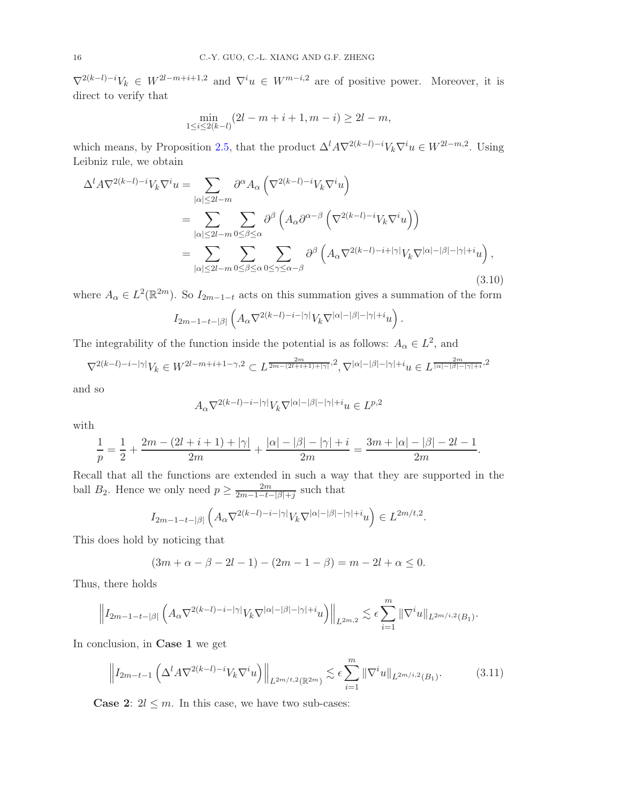$\nabla^{2(k-l)-i}V_k \in W^{2l-m+i+1,2}$  and  $\nabla^i u \in W^{m-i,2}$  are of positive power. Moreover, it is direct to verify that

$$
\min_{1 \le i \le 2(k-l)} (2l - m + i + 1, m - i) \ge 2l - m,
$$

which means, by Proposition [2.5,](#page-9-0) that the product  $\Delta^l A \nabla^{2(k-l)-i} V_k \nabla^i u \in W^{2l-m,2}$ . Using Leibniz rule, we obtain

<span id="page-15-1"></span>
$$
\Delta^{l} A \nabla^{2(k-l)-i} V_{k} \nabla^{i} u = \sum_{|\alpha| \leq 2l-m} \partial^{\alpha} A_{\alpha} \left( \nabla^{2(k-l)-i} V_{k} \nabla^{i} u \right)
$$
  
\n
$$
= \sum_{|\alpha| \leq 2l-m} \sum_{0 \leq \beta \leq \alpha} \partial^{\beta} \left( A_{\alpha} \partial^{\alpha-\beta} \left( \nabla^{2(k-l)-i} V_{k} \nabla^{i} u \right) \right)
$$
  
\n
$$
= \sum_{|\alpha| \leq 2l-m} \sum_{0 \leq \beta \leq \alpha} \sum_{0 \leq \gamma \leq \alpha-\beta} \partial^{\beta} \left( A_{\alpha} \nabla^{2(k-l)-i+|\gamma|} V_{k} \nabla^{|\alpha|-|\beta|-|\gamma|+i} u \right), \tag{3.10}
$$

where  $A_{\alpha} \in L^2(\mathbb{R}^{2m})$ . So  $I_{2m-1-t}$  acts on this summation gives a summation of the form

$$
I_{2m-1-t-|\beta|}\left(A_\alpha \nabla^{2(k-l)-i-|\gamma|}V_k\nabla^{|\alpha|-|\beta|-|\gamma|+i}u\right).
$$

The integrability of the function inside the potential is as follows:  $A_{\alpha} \in L^2$ , and

$$
\nabla^{2(k-l)-i-|\gamma|}V_k \in W^{2l-m+i+1-\gamma,2} \subset L^{\frac{2m}{2m-(2l+i+1)+|\gamma|},2}, \nabla^{|\alpha|-|\beta|-|\gamma|+i}u \in L^{\frac{2m}{|\alpha|-|\beta|-|\gamma|+i},2}
$$

and so

$$
A_\alpha \nabla^{2(k-l)-i-|\gamma|} V_k \nabla^{|\alpha|-|\beta|-|\gamma|+i}u \in L^{p,2}
$$

with

$$
\frac{1}{p} = \frac{1}{2} + \frac{2m - (2l + i + 1) + |\gamma|}{2m} + \frac{|\alpha| - |\beta| - |\gamma| + i}{2m} = \frac{3m + |\alpha| - |\beta| - 2l - 1}{2m}.
$$

Recall that all the functions are extended in such a way that they are supported in the ball  $B_2$ . Hence we only need  $p \geq \frac{2m}{2m-1-t}$  $\frac{2m}{2m-1-t-|\beta|+j}$  such that

$$
I_{2m-1-t-|\beta|}\left(A_\alpha \nabla^{2(k-l)-i-|\gamma|}V_k\nabla^{|\alpha|-|\beta|-|\gamma|+i}u\right)\in L^{2m/t,2}.
$$

This does hold by noticing that

$$
(3m + \alpha - \beta - 2l - 1) - (2m - 1 - \beta) = m - 2l + \alpha \le 0.
$$

Thus, there holds

$$
\left\|I_{2m-1-t-|\beta|}\left(A_\alpha \nabla^{2(k-l)-i-|\gamma|}V_k\nabla^{|\alpha|-|\beta|-|\gamma|+i}u\right)\right\|_{L^{2m,2}}\lesssim \epsilon\sum_{i=1}^m\|\nabla^i u\|_{L^{2m/i,2}(B_1)}.
$$

In conclusion, in Case 1 we get

<span id="page-15-0"></span>
$$
\left\| I_{2m-t-1} \left( \Delta^l A \nabla^{2(k-l)-i} V_k \nabla^i u \right) \right\|_{L^{2m/t,2}(\mathbb{R}^{2m})} \lesssim \epsilon \sum_{i=1}^m \|\nabla^i u\|_{L^{2m/i,2}(B_1)}.
$$
 (3.11)

**Case 2:**  $2l \leq m$ . In this case, we have two sub-cases: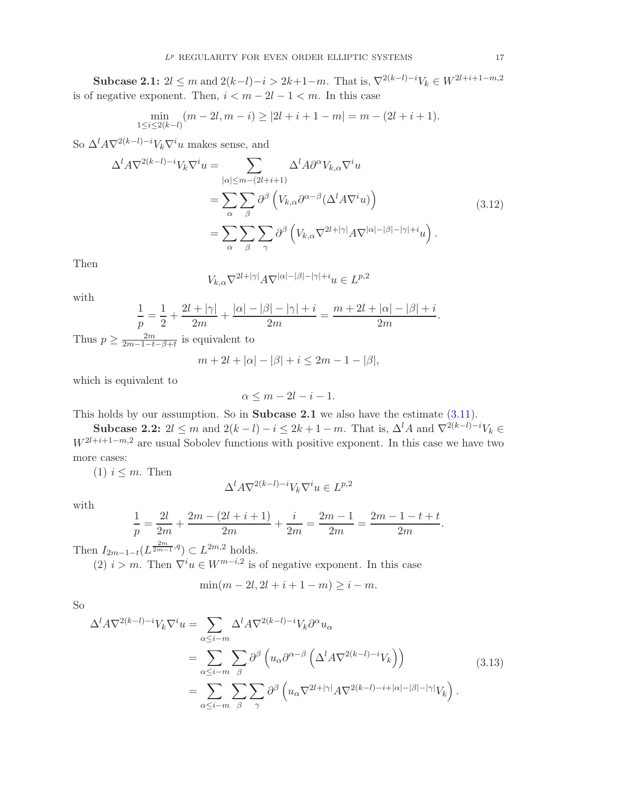Subcase 2.1:  $2l \le m$  and  $2(k-l)-i > 2k+1-m$ . That is,  $\nabla^{2(k-l)-i}V_k \in W^{2l+i+1-m,2}$ is of negative exponent. Then,  $i < m - 2l - 1 < m$ . In this case

$$
\min_{1 \le i \le 2(k-l)} (m-2l, m-i) \ge |2l+i+1-m| = m - (2l+i+1).
$$

So  $\Delta^l A \nabla^{2(k-l)-i} V_k \nabla^i u$  makes sense, and

<span id="page-16-0"></span>
$$
\Delta^{l} A \nabla^{2(k-l)-i} V_{k} \nabla^{i} u = \sum_{|\alpha| \leq m-(2l+i+1)} \Delta^{l} A \partial^{\alpha} V_{k,\alpha} \nabla^{i} u
$$
  

$$
= \sum_{\alpha} \sum_{\beta} \partial^{\beta} \left( V_{k,\alpha} \partial^{\alpha-\beta} (\Delta^{l} A \nabla^{i} u) \right)
$$
  

$$
= \sum_{\alpha} \sum_{\beta} \sum_{\gamma} \partial^{\beta} \left( V_{k,\alpha} \nabla^{2l+|\gamma|} A \nabla^{|\alpha|-|\beta|-|\gamma|+i} u \right).
$$
 (3.12)

Then

$$
V_{k,\alpha}\nabla^{2l+|\gamma|}A\nabla^{|\alpha|-|\beta|-|\gamma|+i}u\in L^{p,2}
$$

with

$$
\frac{1}{p} = \frac{1}{2} + \frac{2l + |\gamma|}{2m} + \frac{|\alpha| - |\beta| - |\gamma| + i}{2m} = \frac{m + 2l + |\alpha| - |\beta| + i}{2m}
$$

Thus  $p \geq \frac{2m}{2m-1-t}$  $\frac{2m}{2m-1-t-\beta+t}$  is equivalent to

$$
m + 2l + |\alpha| - |\beta| + i \le 2m - 1 - |\beta|,
$$

which is equivalent to

$$
\alpha \le m - 2l - i - 1.
$$

This holds by our assumption. So in Subcase 2.1 we also have the estimate [\(3.11\)](#page-15-0).

Subcase 2.2:  $2l \leq m$  and  $2(k-l)-i \leq 2k+1-m$ . That is,  $\Delta^l A$  and  $\nabla^{2(k-l)-i} V_k \in$  $W^{2l+i+1-m,2}$  are usual Sobolev functions with positive exponent. In this case we have two more cases:

(1)  $i \leq m$ . Then

$$
\Delta^l A\nabla^{2(k-l)-i} V_k\nabla^i u\in L^{p,2}
$$

with

$$
\frac{1}{p} = \frac{2l}{2m} + \frac{2m - (2l + i + 1)}{2m} + \frac{i}{2m} = \frac{2m - 1}{2m} = \frac{2m - 1 - t + t}{2m}.
$$

Then  $I_{2m-1-t}(L^{\frac{2m}{2m-1},q}) \subset L^{2m,2}$  holds.

(2)  $i > m$ . Then  $\nabla^i u \in W^{m-i,2}$  is of negative exponent. In this case

$$
\min(m - 2l, 2l + i + 1 - m) \ge i - m.
$$

So

<span id="page-16-1"></span>
$$
\Delta^{l} A \nabla^{2(k-l)-i} V_{k} \nabla^{i} u = \sum_{\alpha \leq i-m} \Delta^{l} A \nabla^{2(k-l)-i} V_{k} \partial^{\alpha} u_{\alpha}
$$
  

$$
= \sum_{\alpha \leq i-m} \sum_{\beta} \partial^{\beta} \left( u_{\alpha} \partial^{\alpha-\beta} \left( \Delta^{l} A \nabla^{2(k-l)-i} V_{k} \right) \right)
$$
  

$$
= \sum_{\alpha \leq i-m} \sum_{\beta} \sum_{\gamma} \partial^{\beta} \left( u_{\alpha} \nabla^{2l+|\gamma|} A \nabla^{2(k-l)-i+|\alpha|-|\beta|-|\gamma|} V_{k} \right).
$$
 (3.13)

.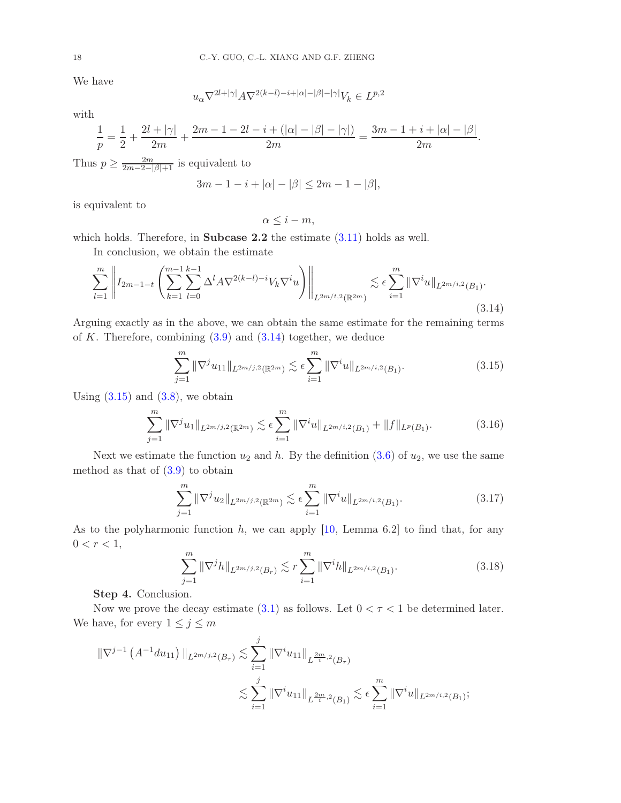We have

$$
u_{\alpha} \nabla^{2l+|\gamma|} A \nabla^{2(k-l)-i+|\alpha|-|\beta|-|\gamma|} V_k \in L^{p,2}
$$

with

$$
\frac{1}{p} = \frac{1}{2} + \frac{2l + |\gamma|}{2m} + \frac{2m - 1 - 2l - i + (|\alpha| - |\beta| - |\gamma|)}{2m} = \frac{3m - 1 + i + |\alpha| - |\beta|}{2m}.
$$

Thus  $p \geq \frac{2m}{2m-2-|\beta|+1}$  is equivalent to

$$
3m - 1 - i + |\alpha| - |\beta| \le 2m - 1 - |\beta|,
$$

is equivalent to

$$
\alpha \leq i - m,
$$

which holds. Therefore, in **Subcase 2.2** the estimate  $(3.11)$  holds as well.

In conclusion, we obtain the estimate

<span id="page-17-0"></span>
$$
\sum_{l=1}^{m} \left\| I_{2m-1-t} \left( \sum_{k=1}^{m-1} \sum_{l=0}^{k-1} \Delta^l A \nabla^{2(k-l)-i} V_k \nabla^i u \right) \right\|_{L^{2m/t,2}(\mathbb{R}^{2m})} \lesssim \epsilon \sum_{i=1}^{m} \|\nabla^i u\|_{L^{2m/i,2}(B_1)}.
$$
\n(3.14)

Arguing exactly as in the above, we can obtain the same estimate for the remaining terms of  $K$ . Therefore, combining  $(3.9)$  and  $(3.14)$  together, we deduce

<span id="page-17-1"></span>
$$
\sum_{j=1}^{m} \|\nabla^j u_{11}\|_{L^{2m/j,2}(\mathbb{R}^{2m})} \lesssim \epsilon \sum_{i=1}^{m} \|\nabla^i u\|_{L^{2m/i,2}(B_1)}.
$$
\n(3.15)

Using  $(3.15)$  and  $(3.8)$ , we obtain

$$
\sum_{j=1}^{m} \|\nabla^j u_1\|_{L^{2m/j,2}(\mathbb{R}^{2m})} \lesssim \epsilon \sum_{i=1}^{m} \|\nabla^i u\|_{L^{2m/i,2}(B_1)} + \|f\|_{L^p(B_1)}.
$$
\n(3.16)

Next we estimate the function  $u_2$  and h. By the definition  $(3.6)$  of  $u_2$ , we use the same method as that of  $(3.9)$  to obtain

$$
\sum_{j=1}^{m} \|\nabla^j u_2\|_{L^{2m/j,2}(\mathbb{R}^{2m})} \lesssim \epsilon \sum_{i=1}^{m} \|\nabla^i u\|_{L^{2m/i,2}(B_1)}.
$$
 (3.17)

As to the polyharmonic function  $h$ , we can apply  $[10, \text{ Lemma } 6.2]$  to find that, for any  $0 < r < 1$ ,

$$
\sum_{j=1}^{m} \|\nabla^j h\|_{L^{2m/j,2}(B_r)} \lesssim r \sum_{i=1}^{m} \|\nabla^i h\|_{L^{2m/i,2}(B_1)}.
$$
\n(3.18)

Step 4. Conclusion.

Now we prove the decay estimate [\(3.1\)](#page-11-4) as follows. Let  $0 < \tau < 1$  be determined later. We have, for every  $1 \leq j \leq m$ 

$$
\begin{split} \|\nabla^{j-1} \left( A^{-1} du_{11} \right) \|_{L^{2m/j,2}(B_{\tau})} &\lesssim \sum_{i=1}^{j} \|\nabla^{i} u_{11} \|_{L^{\frac{2m}{i},2}(B_{\tau})} \\ &\lesssim \sum_{i=1}^{j} \|\nabla^{i} u_{11} \|_{L^{\frac{2m}{i},2}(B_{1})} \lesssim \epsilon \sum_{i=1}^{m} \|\nabla^{i} u \|_{L^{2m/i,2}(B_{1})}; \end{split}
$$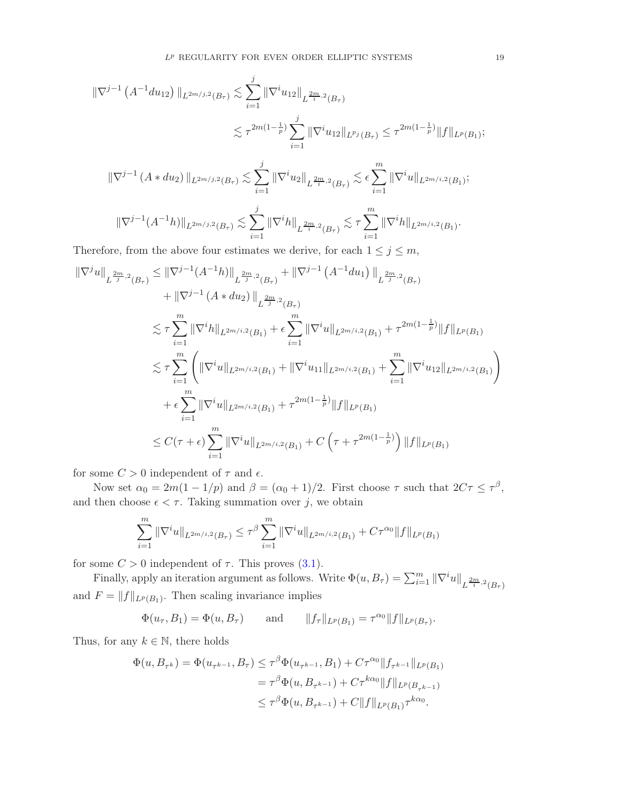$$
\|\nabla^{j-1} (A^{-1} du_{12}) \|_{L^{2m/j,2}(B_{\tau})} \lesssim \sum_{i=1}^{j} \|\nabla^{i} u_{12}\|_{L^{\frac{2m}{i},2}(B_{\tau})}
$$
  

$$
\lesssim \tau^{2m(1-\frac{1}{p})} \sum_{i=1}^{j} \|\nabla^{i} u_{12}\|_{L^{p_j}(B_{\tau})} \leq \tau^{2m(1-\frac{1}{p})} \|f\|_{L^p(B_1)};
$$

$$
\|\nabla^{j-1} (A * du_2) \|_{L^{2m/j,2}(B_\tau)} \lesssim \sum_{i=1}^j \|\nabla^i u_2 \|_{L^{\frac{2m}{i},2}(B_\tau)} \lesssim \epsilon \sum_{i=1}^m \|\nabla^i u \|_{L^{2m/i,2}(B_1)};
$$

$$
\|\nabla^{j-1}(A^{-1}h)\|_{L^{2m/j,2}(B_{\tau})}\lesssim \sum_{i=1}^j \|\nabla^i h\|_{L^{\frac{2m}{i},2}(B_{\tau})}\lesssim \tau \sum_{i=1}^m \|\nabla^i h\|_{L^{2m/i,2}(B_1)}.
$$

Therefore, from the above four estimates we derive, for each  $1 \le j \le m$ ,

$$
\begin{split} \|\nabla^{j}u\|_{L^{\frac{2m}{j},2}(B_{\tau})} &\leq \|\nabla^{j-1}(A^{-1}h)\|_{L^{\frac{2m}{j},2}(B_{\tau})} + \|\nabla^{j-1}(A^{-1}du_1)\|_{L^{\frac{2m}{j},2}(B_{\tau})} \\ &+ \|\nabla^{j-1}(A*du_2)\|_{L^{\frac{2m}{j},2}(B_{\tau})} \\ &\lesssim \tau \sum_{i=1}^{m} \|\nabla^{i}h\|_{L^{2m/i,2}(B_{1})} + \epsilon \sum_{i=1}^{m} \|\nabla^{i}u\|_{L^{2m/i,2}(B_{1})} + \tau^{2m(1-\frac{1}{p})}\|f\|_{L^{p}(B_{1})} \\ &\lesssim \tau \sum_{i=1}^{m} \left( \|\nabla^{i}u\|_{L^{2m/i,2}(B_{1})} + \|\nabla^{i}u_{11}\|_{L^{2m/i,2}(B_{1})} + \sum_{i=1}^{m} \|\nabla^{i}u_{12}\|_{L^{2m/i,2}(B_{1})} \right) \\ &+ \epsilon \sum_{i=1}^{m} \|\nabla^{i}u\|_{L^{2m/i,2}(B_{1})} + \tau^{2m(1-\frac{1}{p})}\|f\|_{L^{p}(B_{1})} \\ &\leq C(\tau + \epsilon) \sum_{i=1}^{m} \|\nabla^{i}u\|_{L^{2m/i,2}(B_{1})} + C\left(\tau + \tau^{2m(1-\frac{1}{p})}\right) \|f\|_{L^{p}(B_{1})} \end{split}
$$

for some  $C > 0$  independent of  $\tau$  and  $\epsilon$ .

Now set  $\alpha_0 = 2m(1 - 1/p)$  and  $\beta = (\alpha_0 + 1)/2$ . First choose  $\tau$  such that  $2C\tau \leq \tau^{\beta}$ , and then choose  $\epsilon < \tau$ . Taking summation over j, we obtain

$$
\sum_{i=1}^{m} \|\nabla^i u\|_{L^{2m/i,2}(B_{\tau})} \leq \tau^{\beta} \sum_{i=1}^{m} \|\nabla^i u\|_{L^{2m/i,2}(B_1)} + C\tau^{\alpha_0} \|f\|_{L^p(B_1)}
$$

for some  $C > 0$  independent of  $\tau$ . This proves [\(3.1\)](#page-11-4).

Finally, apply an iteration argument as follows. Write  $\Phi(u, B_{\tau}) = \sum_{i=1}^{m} ||\nabla^i u||_{L^{\frac{2m}{i},2}(B_{\tau})}$ and  $F = ||f||_{L^p(B_1)}$ . Then scaling invariance implies

 $\Phi(u_{\tau}, B_1) = \Phi(u, B_{\tau})$  and  $||f_{\tau}||_{L^p(B_1)} = \tau^{\alpha_0} ||f||_{L^p(B_{\tau})}.$ 

Thus, for any  $k \in \mathbb{N}$ , there holds

$$
\Phi(u, B_{\tau^k}) = \Phi(u_{\tau^{k-1}}, B_{\tau}) \leq \tau^{\beta} \Phi(u_{\tau^{k-1}}, B_1) + C\tau^{\alpha_0} \|f_{\tau^{k-1}}\|_{L^p(B_1)}
$$
  
=  $\tau^{\beta} \Phi(u, B_{\tau^{k-1}}) + C\tau^{k\alpha_0} \|f\|_{L^p(B_{\tau^{k-1}})}$   
 $\leq \tau^{\beta} \Phi(u, B_{\tau^{k-1}}) + C \|f\|_{L^p(B_1)} \tau^{k\alpha_0}.$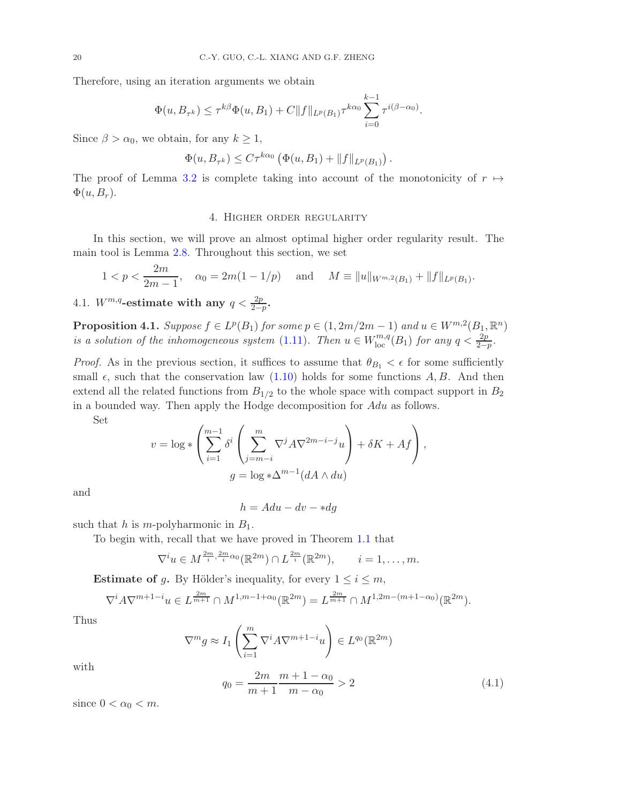Therefore, using an iteration arguments we obtain

$$
\Phi(u, B_{\tau^k}) \leq \tau^{k\beta} \Phi(u, B_1) + C ||f||_{L^p(B_1)} \tau^{k\alpha_0} \sum_{i=0}^{k-1} \tau^{i(\beta - \alpha_0)}.
$$

Since  $\beta > \alpha_0$ , we obtain, for any  $k \geq 1$ ,

$$
\Phi(u, B_{\tau^k}) \leq C\tau^{k\alpha_0} \left( \Phi(u, B_1) + ||f||_{L^p(B_1)} \right).
$$

<span id="page-19-0"></span>The proof of Lemma [3.2](#page-11-2) is complete taking into account of the monotonicity of  $r \mapsto$  $\Phi(u, B_r)$ .

## 4. Higher order regularity

In this section, we will prove an almost optimal higher order regularity result. The main tool is Lemma [2.8.](#page-10-0) Throughout this section, we set

$$
1 < p < \frac{2m}{2m-1}
$$
,  $\alpha_0 = 2m(1 - 1/p)$  and  $M \equiv ||u||_{W^{m,2}(B_1)} + ||f||_{L^p(B_1)}$ .

4.1.  $W^{m,q}$ -estimate with any  $q < \frac{2p}{2-p}$ .

<span id="page-19-2"></span>**Proposition 4.1.** Suppose  $f \in L^p(B_1)$  for some  $p \in (1, 2m/2m - 1)$  and  $u \in W^{m,2}(B_1, \mathbb{R}^n)$ is a solution of the inhomogeneous system [\(1.11\)](#page-4-0). Then  $u \in W^{m,q}_{loc}(B_1)$  for any  $q < \frac{2p}{2-p}$ .

*Proof.* As in the previous section, it suffices to assume that  $\theta_{B_1} < \epsilon$  for some sufficiently small  $\epsilon$ , such that the conservation law [\(1.10\)](#page-3-0) holds for some functions A, B. And then extend all the related functions from  $B_{1/2}$  to the whole space with compact support in  $B_2$ in a bounded way. Then apply the Hodge decomposition for Adu as follows.

Set

$$
v = \log * \left( \sum_{i=1}^{m-1} \delta^i \left( \sum_{j=m-i}^m \nabla^j A \nabla^{2m-i-j} u \right) + \delta K + Af \right),
$$
  

$$
g = \log * \Delta^{m-1} (dA \wedge du)
$$

and

 $h = A du - dv - * dq$ 

such that h is m-polyharmonic in  $B_1$ .

To begin with, recall that we have proved in Theorem [1.1](#page-5-0) that

$$
\nabla^i u \in M^{\frac{2m}{i}, \frac{2m}{i}\alpha_0}(\mathbb{R}^{2m}) \cap L^{\frac{2m}{i}}(\mathbb{R}^{2m}), \qquad i = 1, \dots, m.
$$

**Estimate of g.** By Hölder's inequality, for every  $1 \leq i \leq m$ ,

$$
\nabla^i A \nabla^{m+1-i} u \in L^{\frac{2m}{m+1}} \cap M^{1,m-1+\alpha_0}(\mathbb{R}^{2m}) = L^{\frac{2m}{m+1}} \cap M^{1,2m-(m+1-\alpha_0)}(\mathbb{R}^{2m}).
$$

Thus

$$
\nabla^m g \approx I_1 \left( \sum_{i=1}^m \nabla^i A \nabla^{m+1-i} u \right) \in L^{q_0}(\mathbb{R}^{2m})
$$

with

<span id="page-19-1"></span>
$$
q_0 = \frac{2m}{m+1} \frac{m+1-\alpha_0}{m-\alpha_0} > 2
$$
\n(4.1)

since  $0 < \alpha_0 < m$ .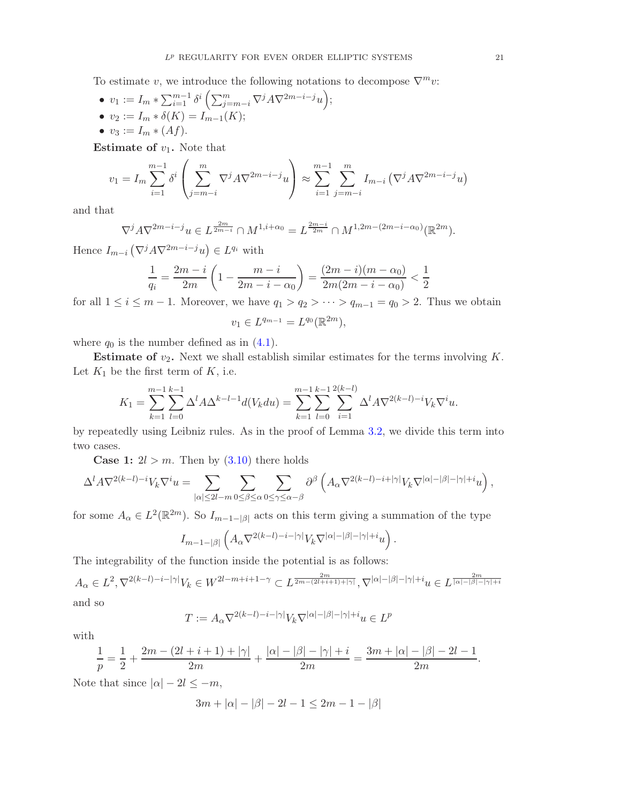To estimate v, we introduce the following notations to decompose  $\nabla^m v$ .

\n- \n
$$
v_1 := I_m * \sum_{i=1}^{m-1} \delta^i \left( \sum_{j=m-i}^m \nabla^j A \nabla^{2m-i-j} u \right);
$$
\n
\n- \n
$$
v_2 := I_m * \delta(K) = I_{m-1}(K);
$$
\n
\n- \n
$$
v_3 := I_m * (Af).
$$
\n
\n

**Estimate of**  $v_1$ **.** Note that

$$
v_1 = I_m \sum_{i=1}^{m-1} \delta^i \left( \sum_{j=m-i}^m \nabla^j A \nabla^{2m-i-j} u \right) \approx \sum_{i=1}^{m-1} \sum_{j=m-i}^m I_{m-i} \left( \nabla^j A \nabla^{2m-i-j} u \right)
$$

and that

$$
\nabla^j A \nabla^{2m-i-j} u \in L^{\frac{2m}{2m-i}} \cap M^{1,i+\alpha_0} = L^{\frac{2m-i}{2m}} \cap M^{1,2m-(2m-i-\alpha_0)}(\mathbb{R}^{2m}).
$$

Hence  $I_{m-i}(\nabla^j A \nabla^{2m-i-j} u) \in L^{q_i}$  with

$$
\frac{1}{q_i} = \frac{2m - i}{2m} \left( 1 - \frac{m - i}{2m - i - \alpha_0} \right) = \frac{(2m - i)(m - \alpha_0)}{2m(2m - i - \alpha_0)} < \frac{1}{2}
$$

for all  $1 \leq i \leq m-1$ . Moreover, we have  $q_1 > q_2 > \cdots > q_{m-1} = q_0 > 2$ . Thus we obtain

$$
v_1 \in L^{q_{m-1}} = L^{q_0}(\mathbb{R}^{2m}),
$$

where  $q_0$  is the number defined as in  $(4.1)$ .

**Estimate of**  $v_2$ **.** Next we shall establish similar estimates for the terms involving  $K$ . Let  $K_1$  be the first term of  $K$ , i.e.

$$
K_1 = \sum_{k=1}^{m-1} \sum_{l=0}^{k-1} \Delta^l A \Delta^{k-l-1} d(V_k du) = \sum_{k=1}^{m-1} \sum_{l=0}^{k-1} \sum_{i=1}^{2(k-l)} \Delta^l A \nabla^{2(k-l)-i} V_k \nabla^i u.
$$

by repeatedly using Leibniz rules. As in the proof of Lemma [3.2,](#page-11-2) we divide this term into two cases.

**Case 1:**  $2l > m$ . Then by  $(3.10)$  there holds

$$
\Delta^l A\nabla^{2(k-l)-i} V_k\nabla^i u = \sum_{|\alpha|\leq 2l-m} \sum_{0\leq \beta\leq \alpha} \sum_{0\leq \gamma\leq \alpha-\beta} \partial^\beta\left(A_\alpha \nabla^{2(k-l)-i+|\gamma|} V_k\nabla^{|\alpha|-|\beta|-|\gamma|+i} u\right),
$$

for some  $A_{\alpha} \in L^2(\mathbb{R}^{2m})$ . So  $I_{m-1-|\beta|}$  acts on this term giving a summation of the type

$$
I_{m-1-|\beta|}\left(A_\alpha \nabla^{2(k-l)-i-|\gamma|}V_k\nabla^{|\alpha|-|\beta|-|\gamma|+i}u\right).
$$

The integrability of the function inside the potential is as follows:

$$
A_{\alpha} \in L^{2}, \nabla^{2(k-l)-i-|\gamma|}V_{k} \in W^{2l-m+i+1-\gamma} \subset L^{\frac{2m}{2m-(2l+i+1)+|\gamma|}}, \nabla^{|\alpha|-|\beta|-|\gamma|+i}u \in L^{\frac{2m}{|\alpha|-|\beta|-|\gamma|+i}}
$$

and so

$$
T := A_{\alpha} \nabla^{2(k-l)-i-|\gamma|} V_k \nabla^{|\alpha|-|\beta|-|\gamma|+i} u \in L^p
$$

with

$$
\frac{1}{p}=\frac{1}{2}+\frac{2m-(2l+i+1)+|\gamma|}{2m}+\frac{|\alpha|-|\beta|-|\gamma|+i}{2m}=\frac{3m+|\alpha|-|\beta|-2l-1}{2m}.
$$

Note that since  $|\alpha| - 2l \leq -m$ ,

$$
3m + |\alpha| - |\beta| - 2l - 1 \le 2m - 1 - |\beta|
$$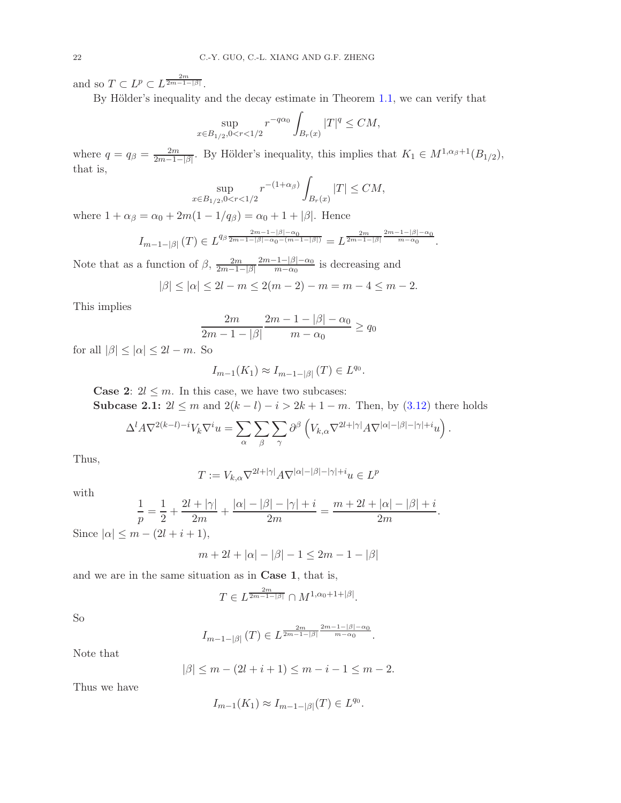and so  $T \subset L^p \subset L^{\frac{2m}{2m-1-|\beta|}}$ .

By Hölder's inequality and the decay estimate in Theorem [1.1,](#page-5-0) we can verify that

$$
\sup_{x \in B_{1/2}, 0 < r < 1/2} r^{-q\alpha_0} \int_{B_r(x)} |T|^q \le CM,
$$

where  $q = q_{\beta} = \frac{2m}{2m-1-|\beta|}$ . By Hölder's inequality, this implies that  $K_1 \in M^{1,\alpha_{\beta}+1}(B_{1/2}),$ that is,

$$
\sup_{x \in B_{1/2}, 0 < r < 1/2} r^{-(1+\alpha_{\beta})} \int_{B_r(x)} |T| \leq CM,
$$

where  $1 + \alpha_{\beta} = \alpha_0 + 2m(1 - 1/q_{\beta}) = \alpha_0 + 1 + |\beta|$ . Hence

$$
I_{m-1-|\beta|}(T) \in L^{q_{\beta} \frac{2m-1-|\beta|-\alpha_0}{2m-1-|\beta|-\alpha_0-(m-1-|\beta|)}} = L^{\frac{2m}{2m-1-|\beta|} \frac{2m-1-|\beta|-\alpha_0}{m-\alpha_0}}.
$$

Note that as a function of  $\beta$ ,  $\frac{2m}{2m-1}$  $2m-1-|\beta|$  $2m-1-\beta-\alpha_0$  $\frac{1-|\rho|-\alpha_0}{m-\alpha_0}$  is decreasing and

$$
|\beta| \le |\alpha| \le 2l - m \le 2(m - 2) - m = m - 4 \le m - 2.
$$

This implies

$$
\frac{2m}{2m-1-|\beta|} \frac{2m-1-|\beta|-\alpha_0}{m-\alpha_0} \ge q_0
$$

for all  $|\beta| \leq |\alpha| \leq 2l - m$ . So

$$
I_{m-1}(K_1) \approx I_{m-1-|\beta|}(T) \in L^{q_0}.
$$

**Case 2:**  $2l \leq m$ . In this case, we have two subcases:

Subcase 2.1:  $2l ≤ m$  and  $2(k - l) - i > 2k + 1 - m$ . Then, by [\(3.12\)](#page-16-0) there holds

$$
\Delta^l A \nabla^{2(k-l)-i} V_k \nabla^i u = \sum_{\alpha} \sum_{\beta} \sum_{\gamma} \partial^{\beta} \left( V_{k,\alpha} \nabla^{2l+|\gamma|} A \nabla^{|\alpha|-|\beta|-|\gamma|+i} u \right).
$$

Thus,

$$
T:=V_{k,\alpha}\nabla^{2l+|\gamma|}A\nabla^{|\alpha|-|\beta|-|\gamma|+i}u\in L^p
$$

with

$$
\frac{1}{p} = \frac{1}{2} + \frac{2l + |\gamma|}{2m} + \frac{|\alpha| - |\beta| - |\gamma| + i}{2m} = \frac{m + 2l + |\alpha| - |\beta| + i}{2m}.
$$

Since  $|\alpha| \leq m - (2l + i + 1),$ 

$$
m + 2l + |\alpha| - |\beta| - 1 \le 2m - 1 - |\beta|
$$

and we are in the same situation as in Case 1, that is,

$$
T \in L^{\frac{2m}{2m-1-|\beta|}} \cap M^{1,\alpha_0+1+|\beta|}.
$$

So

$$
I_{m-1-|\beta|}(T) \in L^{\frac{2m}{2m-1-|\beta|} \frac{2m-1-|\beta|- \alpha_0}{m-\alpha_0}}.
$$

Note that

$$
|\beta| \le m - (2l + i + 1) \le m - i - 1 \le m - 2.
$$

Thus we have

$$
I_{m-1}(K_1) \approx I_{m-1-|\beta|}(T) \in L^{q_0}.
$$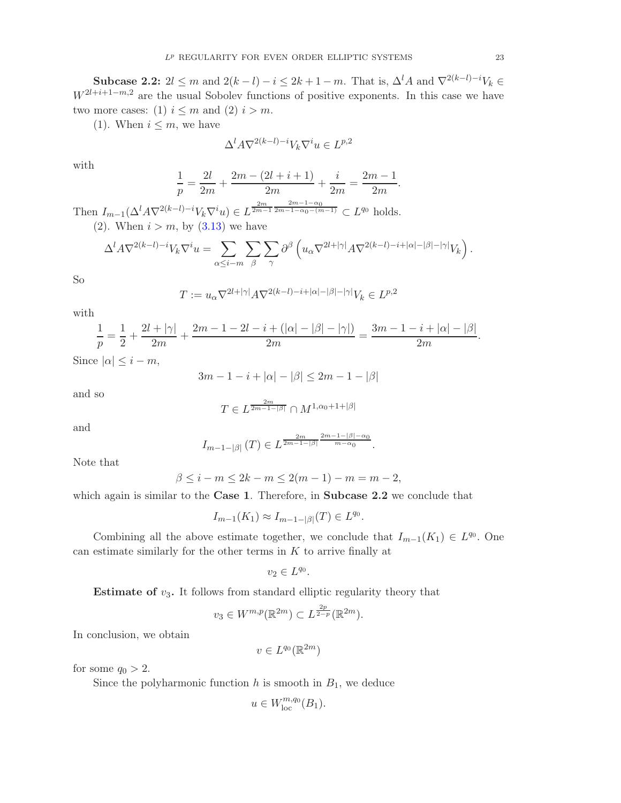Subcase 2.2:  $2l \leq m$  and  $2(k-l)-i \leq 2k+1-m$ . That is,  $\Delta^l A$  and  $\nabla^{2(k-l)-i} V_k \in$  $W^{2l+i+1-m,2}$  are the usual Sobolev functions of positive exponents. In this case we have two more cases: (1)  $i \leq m$  and (2)  $i > m$ .

(1). When  $i \leq m$ , we have

$$
\Delta^l A\nabla^{2(k-l)-i} V_k\nabla^i u\in L^{p,2}
$$

with

$$
\frac{1}{p} = \frac{2l}{2m} + \frac{2m - (2l + i + 1)}{2m} + \frac{i}{2m} = \frac{2m - 1}{2m}.
$$

Then  $I_{m-1}(\Delta^l A\nabla^{2(k-l)-i}V_k\nabla^i u) \in L^{\frac{2m}{2m-1}\frac{2m-1-\alpha_0}{2m-1-\alpha_0-(m-1)}} \subset L^{q_0}$  holds. (2). When  $i > m$ , by  $(3.13)$  we have

$$
\Delta^l A\nabla^{2(k-l)-i} V_k\nabla^i u = \sum_{\alpha\leq i-m}\sum_\beta\sum_\gamma\partial^\beta\left(u_\alpha\nabla^{2l+|\gamma|}A\nabla^{2(k-l)-i+|\alpha|-|\beta|-|\gamma|}V_k\right).
$$

So

$$
T := u_{\alpha} \nabla^{2l+|\gamma|} A \nabla^{2(k-l)-i+|\alpha|-|\beta|-|\gamma|} V_k \in L^{p,2}
$$

with

$$
\frac{1}{p} = \frac{1}{2} + \frac{2l + |\gamma|}{2m} + \frac{2m - 1 - 2l - i + (|\alpha| - |\beta| - |\gamma|)}{2m} = \frac{3m - 1 - i + |\alpha| - |\beta|}{2m}.
$$

Since  $|\alpha| \leq i - m$ ,

$$
3m - 1 - i + |\alpha| - |\beta| \le 2m - 1 - |\beta|
$$

and so

$$
T \in L^{\frac{2m}{2m-1-|\beta|}} \cap M^{1,\alpha_0+1+|\beta|}
$$

and

$$
I_{m-1-|\beta|}(T) \in L^{\frac{2m}{2m-1-|\beta|}\frac{2m-1-|\beta|-\alpha_0}{m-\alpha_0}}.
$$

Note that

$$
\beta \le i - m \le 2k - m \le 2(m - 1) - m = m - 2,
$$

which again is similar to the Case 1. Therefore, in Subcase 2.2 we conclude that

$$
I_{m-1}(K_1) \approx I_{m-1-|\beta|}(T) \in L^{q_0}.
$$

Combining all the above estimate together, we conclude that  $I_{m-1}(K_1) \in L^{q_0}$ . One can estimate similarly for the other terms in  $K$  to arrive finally at

$$
v_2 \in L^{q_0}.
$$

**Estimate of**  $v_3$ . It follows from standard elliptic regularity theory that

$$
v_3 \in W^{m,p}(\mathbb{R}^{2m}) \subset L^{\frac{2p}{2-p}}(\mathbb{R}^{2m}).
$$

In conclusion, we obtain

$$
v \in L^{q_0}(\mathbb{R}^{2m})
$$

for some  $q_0 > 2$ .

Since the polyharmonic function  $h$  is smooth in  $B_1$ , we deduce

$$
u \in W^{m,q_0}_{\mathrm{loc}}(B_1).
$$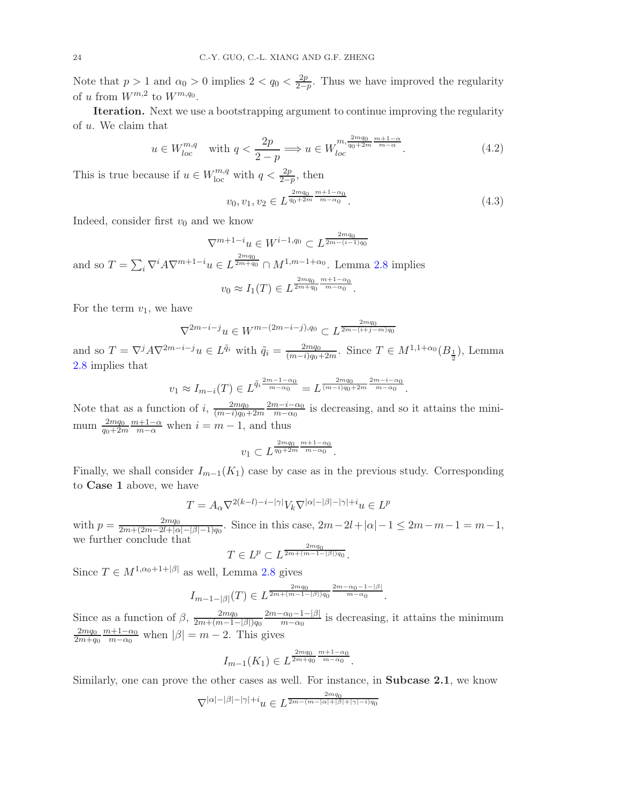Note that  $p > 1$  and  $\alpha_0 > 0$  implies  $2 < q_0 < \frac{2p}{2-p}$  $\frac{2p}{2-p}$ . Thus we have improved the regularity of u from  $W^{m,2}$  to  $W^{m,q_0}$ .

Iteration. Next we use a bootstrapping argument to continue improving the regularity of u. We claim that

<span id="page-23-1"></span>
$$
u \in W_{loc}^{m,q} \quad \text{with } q < \frac{2p}{2-p} \Longrightarrow u \in W_{loc}^{m, \frac{2mq_0}{q_0+2m} \frac{m+1-\alpha}{m-\alpha}}.\tag{4.2}
$$

This is true because if  $u \in W^{m,q}_{\text{loc}}$  with  $q < \frac{2p}{2-p}$ , then

<span id="page-23-0"></span>
$$
v_0, v_1, v_2 \in L^{\frac{2mq_0}{q_0 + 2m} \frac{m+1 - \alpha_0}{m - \alpha_0}}.
$$
\n
$$
(4.3)
$$

Indeed, consider first  $v_0$  and we know

 $\nabla^{m+1-i}u \in W^{i-1,q_0} \subset L^{\frac{2mq_0}{2m-(i-1)q_0}}$ and so  $T = \sum_i \nabla^i A \nabla^{m+1-i} u \in L^{\frac{2mq_0}{2m+q_0}} \cap M^{1,m-1+\alpha_0}$ . Lemma [2.8](#page-10-0) implies  $v_0 \approx I_1(T) \in L^{\frac{2mq_0}{2m+q_0} \frac{m+1-\alpha_0}{m-\alpha_0}}.$ 

For the term  $v_1$ , we have

$$
\nabla^{2m-i-j}u \in W^{m-(2m-i-j),q_0} \subset L^{\frac{2mq_0}{2m-(i+j-m)q_0}}
$$

and so  $T = \nabla^j A \nabla^{2m-i-j} u \in L^{\tilde{q}_i}$  with  $\tilde{q}_i = \frac{2mq_0}{(m-i)q_0-i}$  $\frac{2mq_0}{(m-i)q_0+2m}$ . Since  $T \in M^{1,1+\alpha_0}(B_{\frac{1}{2}})$ , Lemma [2.8](#page-10-0) implies that

$$
v_1 \approx I_{m-i}(T) \in L^{\tilde{q}_i \frac{2m-1-\alpha_0}{m-\alpha_0}} = L^{\frac{2mq_0}{(m-i)q_0+2m} \frac{2m-i-\alpha_0}{m-\alpha_0}}.
$$

Note that as a function of i,  $\frac{2mq_0}{(m-i)q_0}$  $(m-i)q_0+2m$  $2m-i-\alpha_0$  $\frac{n-i-\alpha_0}{m-\alpha_0}$  is decreasing, and so it attains the minimum  $\frac{2mq_0}{qa_0+2n}$  $q_0+2m$  $\frac{m+1-\alpha}{m-\alpha}$  when  $i = m-1$ , and thus

$$
v_1 \subset L^{\frac{2mq_0}{q_0+2m}\frac{m+1-\alpha_0}{m-\alpha_0}}.
$$

Finally, we shall consider  $I_{m-1}(K_1)$  case by case as in the previous study. Corresponding to Case 1 above, we have

$$
T = A_{\alpha} \nabla^{2(k-l)-i-|\gamma|} V_k \nabla^{|\alpha|-|\beta|-|\gamma|+i} u \in L^p
$$

with  $p = \frac{2mq_0}{2m + (2m - 2l + \alpha)}$  $\frac{2mq_0}{2m+(2m-2l+|\alpha|-|\beta|-1)q_0}$ . Since in this case,  $2m-2l+|\alpha|-1 \leq 2m-m-1=m-1$ , we further conclude that

$$
T \in L^p \subset L^{\frac{2mq_0}{2m + (m-1-|\beta|)q_0}}.
$$

Since  $T \in M^{1,\alpha_0+1+|\beta|}$  as well, Lemma [2.8](#page-10-0) gives

$$
I_{m-1-|\beta|}(T) \in L^{\frac{2mq_0}{2m+(m-1-|\beta|)q_0}\frac{2m-\alpha_0-1-|\beta|}{m-\alpha_0}}.
$$

Since as a function of  $\beta$ ,  $\frac{2mq_0}{2m+(m-1)}$  $2m+(m-1-|\beta|)q_0$  $2m-\alpha_0-1-\beta$  $\frac{\alpha_0 - 1 - \beta_1}{m - \alpha_0}$  is decreasing, it attains the minimum  $2mq_0$  $2m+q_0$  $m+1-\alpha_0$  $\frac{n+1-\alpha_0}{m-\alpha_0}$  when  $|\beta|=m-2$ . This gives

$$
I_{m-1}(K_1) \in L^{\frac{2mq_0}{2m+q_0} \frac{m+1-\alpha_0}{m-\alpha_0}}.
$$

Similarly, one can prove the other cases as well. For instance, in Subcase 2.1, we know

$$
\nabla^{|\alpha|-|\beta|-|\gamma|+i}u\in L^{\frac{2mq_0}{2m-(m-|\alpha|+|\beta|+|\gamma|-i)q_0}}
$$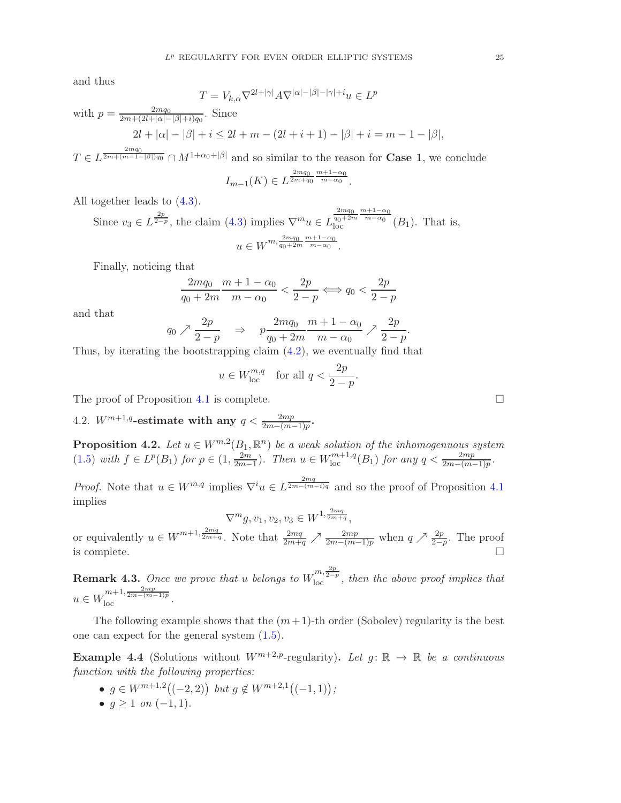and thus

$$
T = V_{k,\alpha} \nabla^{2l+|\gamma|} A \nabla^{|\alpha|-|\beta|-|\gamma|+i} u \in L^p
$$

with 
$$
p = \frac{2mq_0}{2m + (2l + |\alpha| - |\beta| + i)q_0}
$$
. Since  
\n
$$
2l + |\alpha| - |\beta| + i \le 2l + m - (2l + i + 1) - |\beta| + i = m - 1 - |\beta|,
$$

 $T \in L^{\frac{2mq_0}{2m+(m-1-|\beta|)q_0}} \cap M^{1+\alpha_0+|\beta|}$  and so similar to the reason for **Case 1**, we conclude

$$
I_{m-1}(K) \in L^{\frac{2mq_0}{2m+q_0} \frac{m+1-\alpha_0}{m-\alpha_0}}.
$$

All together leads to [\(4.3\)](#page-23-0).

Since  $v_3 \in L^{\frac{2p}{2-p}}$ , the claim [\(4.3\)](#page-23-0) implies  $\nabla^m u \in L^{\frac{2mq_0}{q_0+2m} \frac{m+1-\alpha_0}{m-\alpha_0}}_{\text{loc}}(B_1)$ . That is,  $u \in W^{m, \frac{2mq_0}{q_0+2m} \frac{m+1-\alpha_0}{m-\alpha_0}}.$ 

Finally, noticing that

$$
\frac{2mq_0}{q_0+2m}\frac{m+1-\alpha_0}{m-\alpha_0}<\frac{2p}{2-p}\Longleftrightarrow q_0<\frac{2p}{2-p}
$$

and that

$$
q_0 \nearrow \frac{2p}{2-p} \quad \Rightarrow \quad p \frac{2mq_0}{q_0+2m} \frac{m+1-\alpha_0}{m-\alpha_0} \nearrow \frac{2p}{2-p}.
$$

Thus, by iterating the bootstrapping claim [\(4.2\)](#page-23-1), we eventually find that

$$
u \in W_{\text{loc}}^{m,q}
$$
 for all  $q < \frac{2p}{2-p}$ .

The proof of Proposition [4.1](#page-19-2) is complete.  $\Box$ 

4.2.  $W^{m+1,q}$ -estimate with any  $q < \frac{2mp}{2m-(m-1)p}$ .

**Proposition 4.2.** Let  $u \in W^{m,2}(B_1,\mathbb{R}^n)$  be a weak solution of the inhomogenuous system [\(1.5\)](#page-2-1) with  $f \in L^p(B_1)$  for  $p \in (1, \frac{2m}{2m-1})$  $\frac{2m}{2m-1}$ ). Then  $u \in W^{m+1,q}_{loc}(B_1)$  for any  $q < \frac{2mp}{2m-(m-1)p}$ .

*Proof.* Note that  $u \in W^{m,q}$  implies  $\nabla^i u \in L^{\frac{2mq}{2m-(m-i)q}}$  and so the proof of Proposition [4.1](#page-19-2) implies

$$
\nabla^{m} g, v_1, v_2, v_3 \in W^{1, \frac{2mq}{2m+q}},
$$

or equivalently  $u \in W^{m+1, \frac{2mq}{2m+q}}$ . Note that  $\frac{2mq}{2m+q} \nearrow \frac{2mp}{2m-(m-1)p}$  when  $q \nearrow \frac{2p}{2-p}$ . The proof is complete.  $\Box$ 

<span id="page-24-1"></span>**Remark 4.3.** Once we prove that u belongs to  $W_{\text{loc}}^{m,\frac{2p}{2-p}}$ , then the above proof implies that  $u \in W^{m+1, \frac{2mp}{2m-(m-1)p}}_{\text{loc}}.$ 

The following example shows that the  $(m+1)$ -th order (Sobolev) regularity is the best one can expect for the general system [\(1.5\)](#page-2-1).

<span id="page-24-0"></span>**Example 4.4** (Solutions without  $W^{m+2,p}$ -regularity). Let  $q: \mathbb{R} \to \mathbb{R}$  be a continuous function with the following properties:

- $g \in W^{m+1,2}((-2,2))$  but  $g \notin W^{m+2,1}((-1,1));$
- $q \ge 1$  on  $(-1, 1)$ .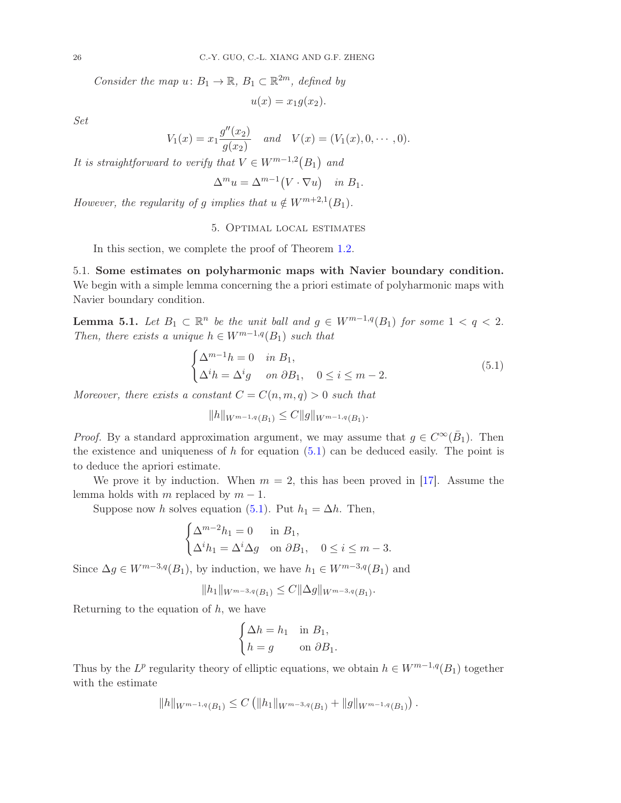Consider the map  $u: B_1 \to \mathbb{R}, B_1 \subset \mathbb{R}^{2m}$ , defined by

 $u(x) = x_1 g(x_2)$ .

Set

$$
V_1(x) = x_1 \frac{g''(x_2)}{g(x_2)} \quad and \quad V(x) = (V_1(x), 0, \cdots, 0).
$$

It is straightforward to verify that  $V \in W^{m-1,2}(B_1)$  and

$$
\Delta^m u = \Delta^{m-1} (V \cdot \nabla u) \quad \text{in } B_1.
$$

<span id="page-25-0"></span>However, the regularity of g implies that  $u \notin W^{m+2,1}(B_1)$ .

5. Optimal local estimates

In this section, we complete the proof of Theorem [1.2.](#page-5-2)

5.1. Some estimates on polyharmonic maps with Navier boundary condition. We begin with a simple lemma concerning the a priori estimate of polyharmonic maps with Navier boundary condition.

<span id="page-25-2"></span>**Lemma 5.1.** Let  $B_1 \subset \mathbb{R}^n$  be the unit ball and  $g \in W^{m-1,q}(B_1)$  for some  $1 < q < 2$ . Then, there exists a unique  $h \in W^{m-1,q}(B_1)$  such that

<span id="page-25-1"></span>
$$
\begin{cases} \Delta^{m-1}h = 0 & \text{in } B_1, \\ \Delta^i h = \Delta^i g & \text{on } \partial B_1, \quad 0 \le i \le m-2. \end{cases}
$$
\n(5.1)

.

Moreover, there exists a constant  $C = C(n, m, q) > 0$  such that

$$
||h||_{W^{m-1,q}(B_1)} \leq C ||g||_{W^{m-1,q}(B_1)}
$$

*Proof.* By a standard approximation argument, we may assume that  $g \in C^{\infty}(\bar{B}_1)$ . Then the existence and uniqueness of  $h$  for equation  $(5.1)$  can be deduced easily. The point is to deduce the apriori estimate.

We prove it by induction. When  $m = 2$ , this has been proved in [\[17\]](#page-35-6). Assume the lemma holds with m replaced by  $m - 1$ .

Suppose now h solves equation [\(5.1\)](#page-25-1). Put  $h_1 = \Delta h$ . Then,

$$
\begin{cases} \Delta^{m-2}h_1 = 0 & \text{in } B_1, \\ \Delta^i h_1 = \Delta^i \Delta g & \text{on } \partial B_1, \quad 0 \le i \le m-3. \end{cases}
$$

Since  $\Delta g \in W^{m-3,q}(B_1)$ , by induction, we have  $h_1 \in W^{m-3,q}(B_1)$  and

$$
||h_1||_{W^{m-3,q}(B_1)} \leq C ||\Delta g||_{W^{m-3,q}(B_1)}.
$$

Returning to the equation of  $h$ , we have

$$
\begin{cases} \Delta h = h_1 & \text{in } B_1, \\ h = g & \text{on } \partial B_1. \end{cases}
$$

Thus by the  $L^p$  regularity theory of elliptic equations, we obtain  $h \in W^{m-1,q}(B_1)$  together with the estimate

$$
||h||_{W^{m-1,q}(B_1)} \leq C \left( ||h_1||_{W^{m-3,q}(B_1)} + ||g||_{W^{m-1,q}(B_1)} \right).
$$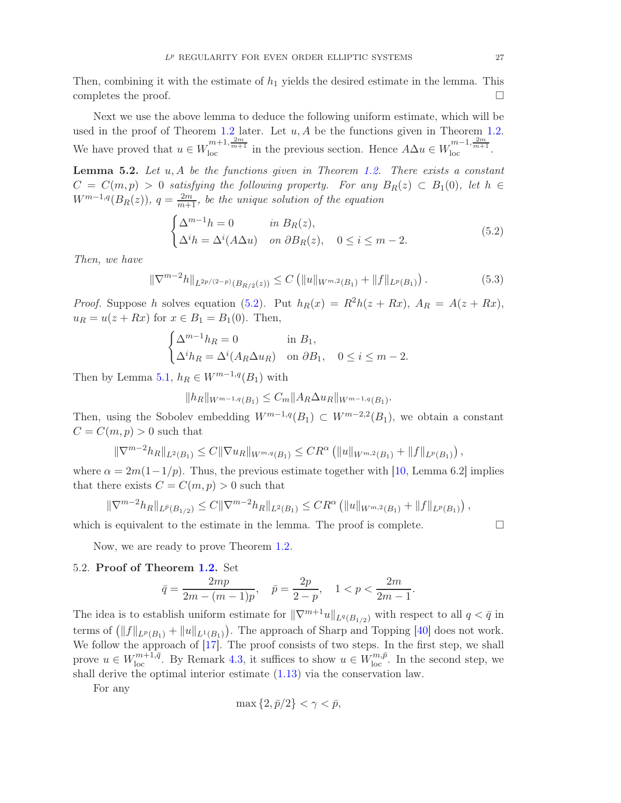Then, combining it with the estimate of  $h_1$  yields the desired estimate in the lemma. This completes the proof.  $\Box$ 

Next we use the above lemma to deduce the following uniform estimate, which will be used in the proof of Theorem [1.2](#page-5-2) later. Let  $u, A$  be the functions given in Theorem [1.2.](#page-5-2) We have proved that  $u \in W_{loc}^{m+1, \frac{2m}{m+1}}$  in the previous section. Hence  $A\Delta u \in W_{loc}^{m-1, \frac{2m}{m+1}}$ .

**Lemma 5.2.** Let  $u, A$  be the functions given in Theorem [1.2.](#page-5-2) There exists a constant  $C = C(m, p) > 0$  satisfying the following property. For any  $B_R(z) \subset B_1(0)$ , let  $h \in$  $W^{m-1,q}(B_R(z)), q = \frac{2m}{m+1}$ , be the unique solution of the equation

<span id="page-26-0"></span>
$$
\begin{cases} \Delta^{m-1}h = 0 & \text{in } B_R(z), \\ \Delta^i h = \Delta^i (A\Delta u) & \text{on } \partial B_R(z), \quad 0 \le i \le m-2. \end{cases}
$$
 (5.2)

Then, we have

<span id="page-26-1"></span>
$$
\|\nabla^{m-2}h\|_{L^{2p/(2-p)}(B_{R/2}(z))} \le C \left( \|u\|_{W^{m,2}(B_1)} + \|f\|_{L^p(B_1)} \right). \tag{5.3}
$$

*Proof.* Suppose h solves equation [\(5.2\)](#page-26-0). Put  $h_R(x) = R^2h(z + Rx)$ ,  $A_R = A(z + Rx)$ ,  $u_R = u(z + Rx)$  for  $x \in B_1 = B_1(0)$ . Then,

$$
\begin{cases} \Delta^{m-1}h_R = 0 & \text{in } B_1, \\ \Delta^i h_R = \Delta^i (A_R \Delta u_R) & \text{on } \partial B_1, \quad 0 \le i \le m-2. \end{cases}
$$

Then by Lemma [5.1,](#page-25-2)  $h_R \in W^{m-1,q}(B_1)$  with

$$
||h_R||_{W^{m-1,q}(B_1)} \leq C_m ||A_R \Delta u_R||_{W^{m-1,q}(B_1)}.
$$

Then, using the Sobolev embedding  $W^{m-1,q}(B_1) \subset W^{m-2,2}(B_1)$ , we obtain a constant  $C = C(m, p) > 0$  such that

$$
\|\nabla^{m-2}h_R\|_{L^2(B_1)} \leq C\|\nabla u_R\|_{W^{m,q}(B_1)} \leq CR^{\alpha} \left( \|u\|_{W^{m,2}(B_1)} + \|f\|_{L^p(B_1)} \right),
$$

where  $\alpha = 2m(1-1/p)$ . Thus, the previous estimate together with [\[10,](#page-35-2) Lemma 6.2] implies that there exists  $C = C(m, p) > 0$  such that

$$
\|\nabla^{m-2}h_R\|_{L^{\bar{p}}(B_{1/2})}\leq C\|\nabla^{m-2}h_R\|_{L^2(B_1)}\leq CR^{\alpha}\left(\|u\|_{W^{m,2}(B_1)}+\|f\|_{L^p(B_1)}\right),
$$

which is equivalent to the estimate in the lemma. The proof is complete.  $\Box$ 

Now, we are ready to prove Theorem [1.2.](#page-5-2)

## 5.2. Proof of Theorem [1.2.](#page-5-2) Set

$$
\bar{q} = \frac{2mp}{2m - (m-1)p}, \quad \bar{p} = \frac{2p}{2-p}, \quad 1 < p < \frac{2m}{2m-1}.
$$

The idea is to establish uniform estimate for  $\|\nabla^{m+1}u\|_{L^q(B_{1/2})}$  with respect to all  $q < \bar{q}$  in terms of  $(\|f\|_{L^p(B_1)} + \|u\|_{L^1(B_1)})$ . The approach of Sharp and Topping [\[40\]](#page-36-1) does not work. We follow the approach of  $[17]$ . The proof consists of two steps. In the first step, we shall prove  $u \in W_{loc}^{m+1,\bar{q}}$ . By Remark [4.3,](#page-24-1) it suffices to show  $u \in W_{loc}^{m,\bar{p}}$ . In the second step, we shall derive the optimal interior estimate [\(1.13\)](#page-5-3) via the conservation law.

For any

$$
\max\{2,\bar{p}/2\}<\gamma<\bar{p},
$$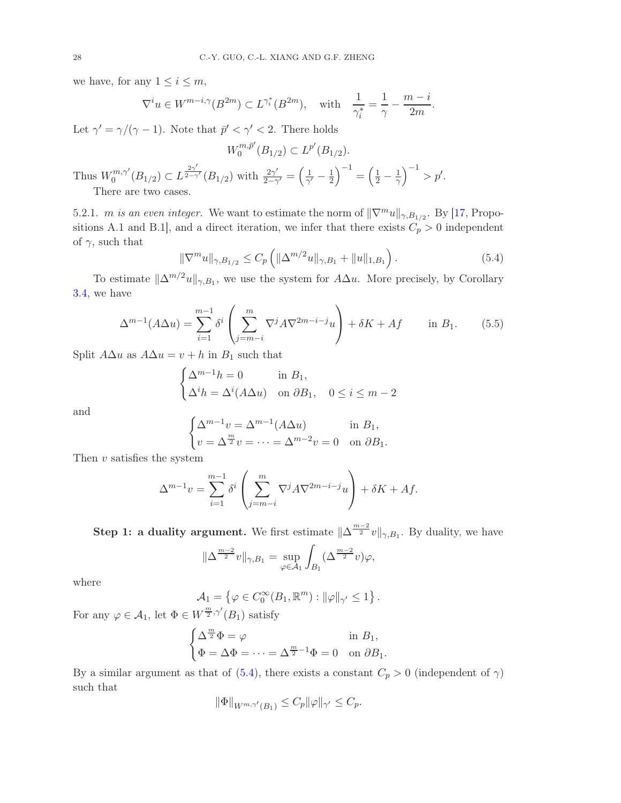we have, for any  $1 \leq i \leq m$ ,

$$
\nabla^i u \in W^{m-i,\gamma}(B^{2m}) \subset L^{\gamma_i^*}(B^{2m}), \quad \text{with} \quad \frac{1}{\gamma_i^*} = \frac{1}{\gamma} - \frac{m-i}{2m}.
$$

Let  $\gamma' = \gamma/(\gamma - 1)$ . Note that  $\bar{p}' < \gamma' < 2$ . There holds

$$
W_0^{m,\bar{p}'}(B_{1/2}) \subset L^{p'}(B_{1/2}).
$$

Thus  $W_0^{m,\gamma'}$  $L_{0}^{m,\gamma'}(B_{1/2}) \subset L^{\frac{2\gamma'}{2-\gamma}}$  $\frac{2\gamma}{2-\gamma'}(B_{1/2})$  with  $\frac{2\gamma'}{2-\gamma'}$  $\frac{2\gamma'}{2-\gamma'}=\left(\frac{1}{\gamma'}\right)$  $\frac{1}{\gamma'} - \frac{1}{2}$  $\Big)^{-1} = \left(\frac{1}{2} - \frac{1}{\gamma}\right)^{-1} > p'.$ There are two cases.

5.2.1. *m is an even integer.* We want to estimate the norm of  $\|\nabla^m u\|_{\gamma, B_{1/2}}$ . By [\[17,](#page-35-6) Propositions A.1 and B.1], and a direct iteration, we infer that there exists  $C_p > 0$  independent of  $\gamma$ , such that

<span id="page-27-0"></span>
$$
\|\nabla^m u\|_{\gamma, B_{1/2}} \le C_p \left( \|\Delta^{m/2} u\|_{\gamma, B_1} + \|u\|_{1, B_1} \right). \tag{5.4}
$$

To estimate  $\|\Delta^{m/2}u\|_{\gamma,B_1}$ , we use the system for  $A\Delta u$ . More precisely, by Corollary [3.4,](#page-13-2) we have

<span id="page-27-1"></span>
$$
\Delta^{m-1}(A\Delta u) = \sum_{i=1}^{m-1} \delta^i \left( \sum_{j=m-i}^m \nabla^j A \nabla^{2m-i-j} u \right) + \delta K + Af \quad \text{in } B_1.
$$
 (5.5)

Split  $A\Delta u$  as  $A\Delta u = v + h$  in  $B_1$  such that

$$
\begin{cases} \Delta^{m-1}h = 0 & \text{in } B_1, \\ \Delta^i h = \Delta^i (A\Delta u) & \text{on } \partial B_1, \quad 0 \le i \le m-2 \end{cases}
$$

and

$$
\begin{cases} \Delta^{m-1}v = \Delta^{m-1}(A\Delta u) & \text{in } B_1, \\ v = \Delta^{\frac{m}{2}}v = \dots = \Delta^{m-2}v = 0 & \text{on } \partial B_1. \end{cases}
$$

Then  $v$  satisfies the system

$$
\Delta^{m-1}v = \sum_{i=1}^{m-1} \delta^i \left( \sum_{j=m-i}^m \nabla^j A \nabla^{2m-i-j} u \right) + \delta K + Af.
$$

**Step 1: a duality argument.** We first estimate  $\|\Delta^{\frac{m-2}{2}}v\|_{\gamma,B_1}$ . By duality, we have

$$
\|\Delta^{\frac{m-2}{2}}v\|_{\gamma,B_1} = \sup_{\varphi \in \mathcal{A}_1} \int_{B_1} (\Delta^{\frac{m-2}{2}}v)\varphi,
$$

where

$$
\mathcal{A}_1 = \left\{ \varphi \in C_0^{\infty}(B_1, \mathbb{R}^m) : ||\varphi||_{\gamma'} \le 1 \right\}.
$$

For any  $\varphi \in \mathcal{A}_1$ , let  $\Phi \in W^{\frac{m}{2}, \gamma'}(B_1)$  satisfy

 $\overline{\phantom{a}}$ 

$$
\begin{cases} \Delta^{\frac{m}{2}} \Phi = \varphi & \text{in } B_1, \\ \Phi = \Delta \Phi = \dots = \Delta^{\frac{m}{2}-1} \Phi = 0 & \text{on } \partial B_1. \end{cases}
$$

By a similar argument as that of [\(5.4\)](#page-27-0), there exists a constant  $C_p > 0$  (independent of  $\gamma$ ) such that

$$
\|\Phi\|_{W^{m,\gamma'}(B_1)} \le C_p \|\varphi\|_{\gamma'} \le C_p.
$$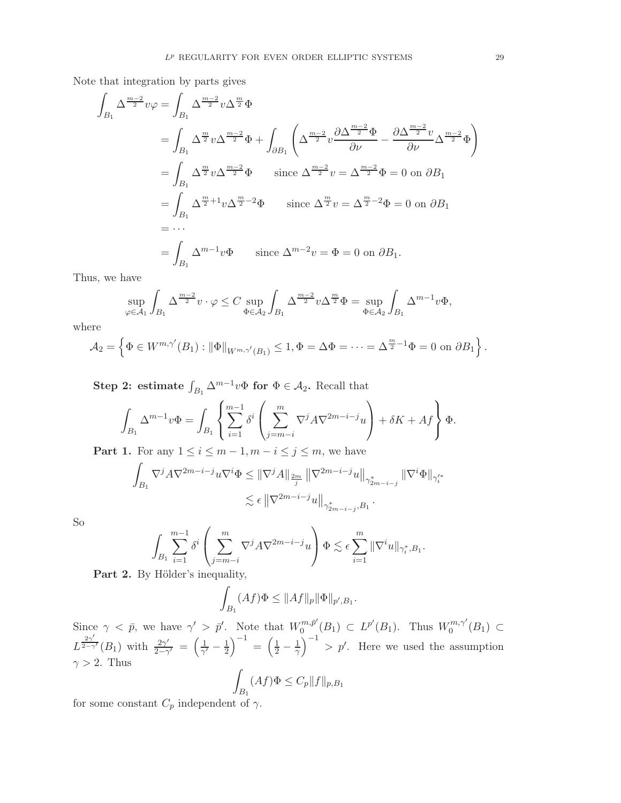Note that integration by parts gives

$$
\int_{B_1} \Delta^{\frac{m-2}{2}} v\varphi = \int_{B_1} \Delta^{\frac{m-2}{2}} v \Delta^{\frac{m}{2}} \Phi
$$
\n
$$
= \int_{B_1} \Delta^{\frac{m}{2}} v \Delta^{\frac{m-2}{2}} \Phi + \int_{\partial B_1} \left( \Delta^{\frac{m-2}{2}} v \frac{\partial \Delta^{\frac{m-2}{2}} \Phi}{\partial \nu} - \frac{\partial \Delta^{\frac{m-2}{2}} v}{\partial \nu} \Delta^{\frac{m-2}{2}} \Phi \right)
$$
\n
$$
= \int_{B_1} \Delta^{\frac{m}{2}} v \Delta^{\frac{m-2}{2}} \Phi \quad \text{since } \Delta^{\frac{m-2}{2}} v = \Delta^{\frac{m-2}{2}} \Phi = 0 \text{ on } \partial B_1
$$
\n
$$
= \int_{B_1} \Delta^{\frac{m}{2}+1} v \Delta^{\frac{m}{2}-2} \Phi \quad \text{since } \Delta^{\frac{m}{2}} v = \Delta^{\frac{m}{2}-2} \Phi = 0 \text{ on } \partial B_1
$$
\n
$$
= \cdots
$$
\n
$$
= \int_{B_1} \Delta^{m-1} v \Phi \quad \text{since } \Delta^{m-2} v = \Phi = 0 \text{ on } \partial B_1.
$$

Thus, we have

$$
\sup_{\varphi \in \mathcal{A}_1} \int_{B_1} \Delta^{\frac{m-2}{2}} v \cdot \varphi \leq C \sup_{\Phi \in \mathcal{A}_2} \int_{B_1} \Delta^{\frac{m-2}{2}} v \Delta^{\frac{m}{2}} \Phi = \sup_{\Phi \in \mathcal{A}_2} \int_{B_1} \Delta^{m-1} v \Phi,
$$

where

$$
\mathcal{A}_2 = \left\{ \Phi \in W^{m,\gamma'}(B_1) : \|\Phi\|_{W^{m,\gamma'}(B_1)} \leq 1, \Phi = \Delta \Phi = \dots = \Delta^{\frac{m}{2}-1} \Phi = 0 \text{ on } \partial B_1 \right\}.
$$

Step 2: estimate  $\int_{B_1} \Delta^{m-1} v \Phi$  for  $\Phi \in \mathcal{A}_2$ . Recall that

$$
\int_{B_1} \Delta^{m-1} v \Phi = \int_{B_1} \left\{ \sum_{i=1}^{m-1} \delta^i \left( \sum_{j=m-i}^m \nabla^j A \nabla^{2m-i-j} u \right) + \delta K + Af \right\} \Phi.
$$

**Part 1.** For any  $1 \leq i \leq m-1, m-i \leq j \leq m$ , we have

$$
\begin{aligned} \int_{B_1}\nabla^j A \nabla^{2m-i-j} u \nabla^i \Phi &\leq \|\nabla^j A\|_{\frac{2m}{j}} \left\|\nabla^{2m-i-j} u\right\|_{\gamma^*_{2m-i-j}} \|\nabla^i \Phi\|_{\gamma'^*_{i}} \\ &\lesssim \epsilon \left\|\nabla^{2m-i-j} u\right\|_{\gamma^*_{2m-i-j},B_1}. \end{aligned}
$$

So

$$
\int_{B_1} \sum_{i=1}^{m-1} \delta^i \left( \sum_{j=m-i}^m \nabla^j A \nabla^{2m-i-j} u \right) \Phi \lesssim \epsilon \sum_{i=1}^m \|\nabla^i u\|_{\gamma_i^*, B_1}.
$$

Part 2. By Hölder's inequality,

$$
\int_{B_1} (Af)\Phi \le \|Af\|_p \|\Phi\|_{p',B_1}.
$$

Since  $\gamma < \bar{p}$ , we have  $\gamma' > \bar{p}'$ . Note that  $W_0^{m, \bar{p}'}$  $L^{m,\bar{p}'}(B_1) \subset L^{p'}(B_1)$ . Thus  $W_0^{m,\gamma'}$  $0^{m,\gamma}(B_1) \subset$  $L^{\frac{2\gamma'}{2-\gamma}}$  $\frac{2\gamma}{2-\gamma'}(B_1)$  with  $\frac{2\gamma'}{2-\gamma}$  $\frac{2\gamma'}{2-\gamma'} = \left(\frac{1}{\gamma'}\right)$  $\frac{1}{\gamma'}-\frac{1}{2}$  $\left(\frac{1}{2} - \frac{1}{\gamma}\right)$  $\frac{1}{\gamma}$   $\left| \frac{1}{\gamma} \right|$  > p'. Here we used the assumption  $\gamma > 2$ . Thus

$$
\int_{B_1} (Af)\Phi \le C_p \|f\|_{p, B_1}
$$

for some constant  $C_p$  independent of  $\gamma$ .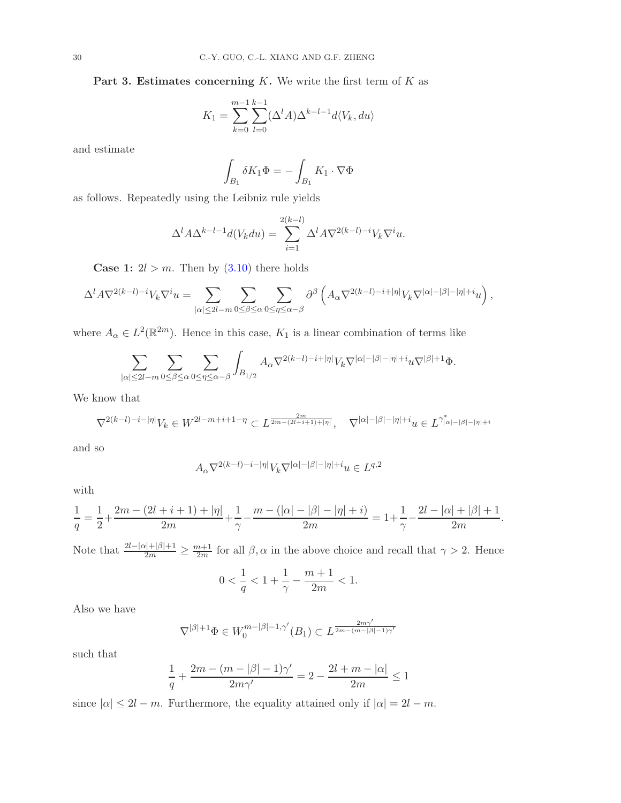Part 3. Estimates concerning  $K$ . We write the first term of  $K$  as

$$
K_1 = \sum_{k=0}^{m-1} \sum_{l=0}^{k-1} (\Delta^l A) \Delta^{k-l-1} d \langle V_k, du \rangle
$$

and estimate

$$
\int_{B_1} \delta K_1 \Phi = -\int_{B_1} K_1 \cdot \nabla \Phi
$$

as follows. Repeatedly using the Leibniz rule yields

$$
\Delta^l A \Delta^{k-l-1} d(V_k du) = \sum_{i=1}^{2(k-l)} \Delta^l A \nabla^{2(k-l)-i} V_k \nabla^i u.
$$

**Case 1:**  $2l > m$ . Then by  $(3.10)$  there holds

$$
\Delta^l A \nabla^{2(k-l)-i} V_k \nabla^i u = \sum_{|\alpha| \leq 2l-m} \sum_{0 \leq \beta \leq \alpha} \sum_{0 \leq \eta \leq \alpha-\beta} \partial^\beta \left( A_\alpha \nabla^{2(k-l)-i+|\eta|} V_k \nabla^{|\alpha|-|\beta|-|\eta|+i} u \right),
$$

where  $A_{\alpha} \in L^2(\mathbb{R}^{2m})$ . Hence in this case,  $K_1$  is a linear combination of terms like

$$
\sum_{|\alpha|\leq 2l-m}\sum_{0\leq \beta\leq \alpha}\sum_{0\leq \eta\leq \alpha-\beta}\int_{B_{1/2}}A_{\alpha}\nabla^{2(k-l)-i+|\eta|}V_{k}\nabla^{|\alpha|-|\beta|-|\eta|+i}u\nabla^{|\beta|+1}\Phi.
$$

We know that

$$
\nabla^{2(k-l)-i-|\eta|}V_k\in W^{2l-m+i+1-\eta}\subset L^{\frac{2m}{2m-(2l+i+1)+|\eta|}},\quad \nabla^{|\alpha|-|\beta|-|\eta|+i}u\in L^{\gamma^*_{|\alpha|-|\beta|-|\eta|+i}}
$$

and so

$$
A_{\alpha} \nabla^{2(k-l)-i-|\eta|} V_k \nabla^{|\alpha|-|\beta|-|\eta|+i} u \in L^{q,2}
$$

with

$$
\frac{1}{q}=\frac{1}{2}+\frac{2m-(2l+i+1)+|\eta|}{2m}+\frac{1}{\gamma}-\frac{m-(|\alpha|-|\beta|-|\eta|+i)}{2m}=1+\frac{1}{\gamma}-\frac{2l-|\alpha|+|\beta|+1}{2m}.
$$

Note that  $\frac{2l-|\alpha|+|\beta|+1}{2m}\geq \frac{m+1}{2m}$  for all  $\beta,\alpha$  in the above choice and recall that  $\gamma>2$ . Hence

$$
0<\frac{1}{q}<1+\frac{1}{\gamma}-\frac{m+1}{2m}<1.
$$

Also we have

$$
\nabla^{|\beta|+1}\Phi \in W_0^{m-|\beta|-1,\gamma'}(B_1) \subset L^{\frac{2m\gamma'}{2m-(m-|\beta|-1)\gamma'}}
$$

such that

$$
\frac{1}{q} + \frac{2m - (m - |\beta| - 1)\gamma'}{2m\gamma'} = 2 - \frac{2l + m - |\alpha|}{2m} \le 1
$$

since  $|\alpha| \leq 2l - m$ . Furthermore, the equality attained only if  $|\alpha| = 2l - m$ .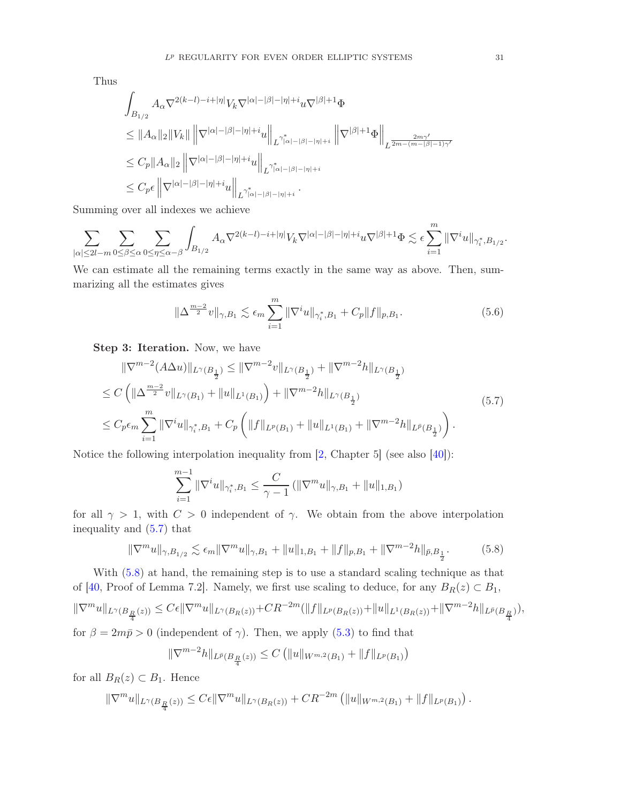Thus

$$
\begin{aligned} &\int_{B_{1/2}} A_{\alpha}\nabla^{2(k-l)-i+|\eta|}V_{k}\nabla^{|\alpha|-|\beta|-|\eta|+i}u\nabla^{|\beta|+1}\Phi\\ &\leq\|A_{\alpha}\|_{2}\|V_{k}\|\left\|\nabla^{|\alpha|-|\beta|-|\eta|+i}u\right\|_{L^{\gamma^{*}_{|\alpha|-|\beta|-|\eta|+i}}}\left\|\nabla^{|\beta|+1}\Phi\right\|_{L^{\frac{2m\gamma'}{2m-(m-|\beta|-1)\gamma'}}\\ &\leq C_{p}\|A_{\alpha}\|_{2}\left\|\nabla^{|\alpha|-|\beta|-|\eta|+i}u\right\|_{L^{\gamma^{*}_{|\alpha|-|\beta|-|\eta|+i}}}.\end{aligned}
$$

Summing over all indexes we achieve

$$
\sum_{|\alpha|\leq 2l-m}\sum_{0\leq\beta\leq\alpha}\sum_{0\leq\eta\leq\alpha-\beta}\int_{B_{1/2}}A_{\alpha}\nabla^{2(k-l)-i+|\eta|}V_{k}\nabla^{|\alpha|-|\beta|-|\eta|+i}u\nabla^{|\beta|+1}\Phi\lesssim\epsilon\sum_{i=1}^{m}\|\nabla^{i}u\|_{\gamma_{i}^{*},B_{1/2}}.
$$

We can estimate all the remaining terms exactly in the same way as above. Then, summarizing all the estimates gives

$$
\|\Delta^{\frac{m-2}{2}}v\|_{\gamma,B_1} \lesssim \epsilon_m \sum_{i=1}^m \|\nabla^i u\|_{\gamma_i^*,B_1} + C_p \|f\|_{p,B_1}.
$$
 (5.6)

Step 3: Iteration. Now, we have

<span id="page-30-0"></span>
$$
\|\nabla^{m-2}(A\Delta u)\|_{L^{\gamma}(B_{\frac{1}{2}})} \leq \|\nabla^{m-2}v\|_{L^{\gamma}(B_{\frac{1}{2}})} + \|\nabla^{m-2}h\|_{L^{\gamma}(B_{\frac{1}{2}})}
$$
  
\n
$$
\leq C \left( \|\Delta^{\frac{m-2}{2}}v\|_{L^{\gamma}(B_1)} + \|u\|_{L^1(B_1)} \right) + \|\nabla^{m-2}h\|_{L^{\gamma}(B_{\frac{1}{2}})}
$$
  
\n
$$
\leq C_p \epsilon_m \sum_{i=1}^m \|\nabla^i u\|_{\gamma_i^*, B_1} + C_p \left( \|f\|_{L^p(B_1)} + \|u\|_{L^1(B_1)} + \|\nabla^{m-2}h\|_{L^{\bar{p}}(B_{\frac{1}{2}})} \right).
$$
\n(5.7)

Notice the following interpolation inequality from [\[2,](#page-34-6) Chapter 5] (see also [\[40\]](#page-36-1)):

$$
\sum_{i=1}^{m-1} \|\nabla^i u\|_{\gamma_i^*, B_1} \le \frac{C}{\gamma - 1} \left( \|\nabla^m u\|_{\gamma, B_1} + \|u\|_{1, B_1} \right)
$$

for all  $\gamma > 1$ , with  $C > 0$  independent of  $\gamma$ . We obtain from the above interpolation inequality and [\(5.7\)](#page-30-0) that

<span id="page-30-1"></span>
$$
\|\nabla^m u\|_{\gamma, B_{1/2}} \lesssim \epsilon_m \|\nabla^m u\|_{\gamma, B_1} + \|u\|_{1, B_1} + \|f\|_{p, B_1} + \|\nabla^{m-2} h\|_{\bar{p}, B_{\frac{1}{2}}}.
$$
 (5.8)

With [\(5.8\)](#page-30-1) at hand, the remaining step is to use a standard scaling technique as that of [\[40,](#page-36-1) Proof of Lemma 7.2]. Namely, we first use scaling to deduce, for any  $B_R(z) \subset B_1$ ,

$$
\|\nabla^m u\|_{L^{\gamma}(B_{\frac{R}{4}}(z))} \leq C\epsilon \|\nabla^m u\|_{L^{\gamma}(B_R(z))} + CR^{-2m}(\|f\|_{L^p(B_R(z))} + \|u\|_{L^1(B_R(z))} + \|\nabla^{m-2} h\|_{L^{\bar{p}}(B_{\frac{R}{4}})}),
$$

for  $\beta = 2m\bar{p} > 0$  (independent of  $\gamma$ ). Then, we apply [\(5.3\)](#page-26-1) to find that

$$
\|\nabla^{m-2}h\|_{L^{\bar{p}}(B_{\frac{R}{4}}(z))}\leq C\left(\|u\|_{W^{m,2}(B_1)}+\|f\|_{L^p(B_1)}\right)
$$

for all  $B_R(z) \subset B_1$ . Hence

$$
\|\nabla^m u\|_{L^{\gamma}(B_{\frac{R}{4}}(z))} \leq C\epsilon \|\nabla^m u\|_{L^{\gamma}(B_R(z))} + C R^{-2m} \left( \|u\|_{W^{m,2}(B_1)} + \|f\|_{L^p(B_1)} \right).
$$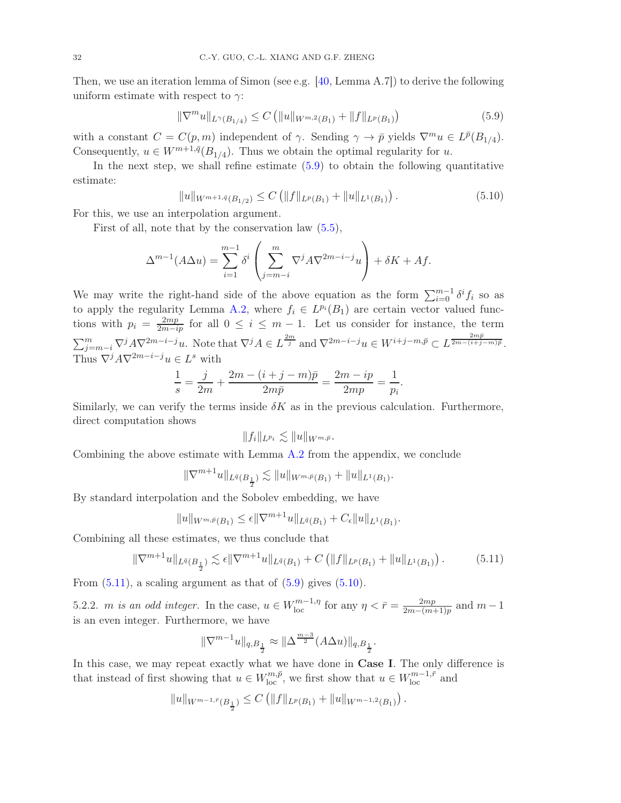Then, we use an iteration lemma of Simon (see e.g. [\[40,](#page-36-1) Lemma A.7]) to derive the following uniform estimate with respect to  $\gamma$ :

<span id="page-31-0"></span>
$$
\|\nabla^m u\|_{L^{\gamma}(B_{1/4})} \le C \left( \|u\|_{W^{m,2}(B_1)} + \|f\|_{L^p(B_1)} \right) \tag{5.9}
$$

with a constant  $C = C(p, m)$  independent of  $\gamma$ . Sending  $\gamma \to \bar{p}$  yields  $\nabla^m u \in L^{\bar{p}}(B_{1/4})$ . Consequently,  $u \in W^{m+1,\bar{q}}(B_{1/4})$ . Thus we obtain the optimal regularity for u.

In the next step, we shall refine estimate [\(5.9\)](#page-31-0) to obtain the following quantitative estimate:

<span id="page-31-2"></span>
$$
||u||_{W^{m+1,\bar{q}}(B_{1/2})} \leq C \left( ||f||_{L^{p}(B_1)} + ||u||_{L^{1}(B_1)} \right).
$$
\n(5.10)

For this, we use an interpolation argument.

First of all, note that by the conservation law [\(5.5\)](#page-27-1),

$$
\Delta^{m-1}(A\Delta u) = \sum_{i=1}^{m-1} \delta^i \left( \sum_{j=m-i}^m \nabla^j A \nabla^{2m-i-j} u \right) + \delta K + Af.
$$

We may write the right-hand side of the above equation as the form  $\sum_{i=0}^{m-1} \delta^i f_i$  so as to apply the regularity Lemma [A.2,](#page-33-1) where  $f_i \in L^{p_i}(B_1)$  are certain vector valued functions with  $p_i = \frac{2mp}{2m - ip}$  for all  $0 \le i \le m - 1$ . Let us consider for instance, the term  $\sum_{j=m-i}^{m} \nabla^j A \nabla^{2m-i-j} u$ . Note that  $\nabla^j A \in L^{\frac{2m}{j}}$  and  $\nabla^{2m-i-j} u \in W^{i+j-m,\bar{p}} \subset L^{\frac{2m\bar{p}}{2m-(i+j-m)\bar{p}}}$ . Thus  $\nabla^j A \nabla^{2m-i-j} u \in L^s$  with

$$
\frac{1}{s} = \frac{j}{2m} + \frac{2m - (i + j - m)\bar{p}}{2m\bar{p}} = \frac{2m - ip}{2mp} = \frac{1}{p_i}.
$$

Similarly, we can verify the terms inside  $\delta K$  as in the previous calculation. Furthermore, direct computation shows

$$
||f_i||_{L^{p_i}} \lesssim ||u||_{W^{m,\bar{p}}}.
$$

Combining the above estimate with Lemma [A.2](#page-33-1) from the appendix, we conclude

$$
\|\nabla^{m+1}u\|_{L^{\bar{q}}(B_{\frac{1}{2}})}\lesssim \|u\|_{W^{m,\bar{p}}(B_1)}+\|u\|_{L^1(B_1)}.
$$

By standard interpolation and the Sobolev embedding, we have

$$
||u||_{W^{m,\bar{p}}(B_1)} \leq \epsilon ||\nabla^{m+1}u||_{L^{\bar{q}}(B_1)} + C_{\epsilon}||u||_{L^1(B_1)}.
$$

Combining all these estimates, we thus conclude that

<span id="page-31-1"></span>
$$
\|\nabla^{m+1}u\|_{L^{\bar{q}}(B_{\frac{1}{2}})} \lesssim \epsilon \|\nabla^{m+1}u\|_{L^{\bar{q}}(B_1)} + C\left(\|f\|_{L^p(B_1)} + \|u\|_{L^1(B_1)}\right). \tag{5.11}
$$

From  $(5.11)$ , a scaling argument as that of  $(5.9)$  gives  $(5.10)$ .

5.2.2. *m is an odd integer*. In the case,  $u \in W_{\text{loc}}^{m-1,\eta}$  for any  $\eta < \bar{r} = \frac{2mp}{2m-(m+1)}$  $\frac{2mp}{2m-(m+1)p}$  and  $m-1$ is an even integer. Furthermore, we have

$$
\|\nabla^{m-1} u\|_{q, B_{\frac{1}{2}}} \approx \|\Delta^{\frac{m-3}{2}} (A\Delta u)\|_{q, B_{\frac{1}{2}}}.
$$

In this case, we may repeat exactly what we have done in Case I. The only difference is that instead of first showing that  $u \in W_{\text{loc}}^{m,\bar{p}}$ , we first show that  $u \in W_{\text{loc}}^{m-1,\bar{r}}$  and

$$
||u||_{W^{m-1,\bar{r}}(B_{\frac{1}{2}})} \leq C (||f||_{L^{p}(B_1)} + ||u||_{W^{m-1,2}(B_1)}).
$$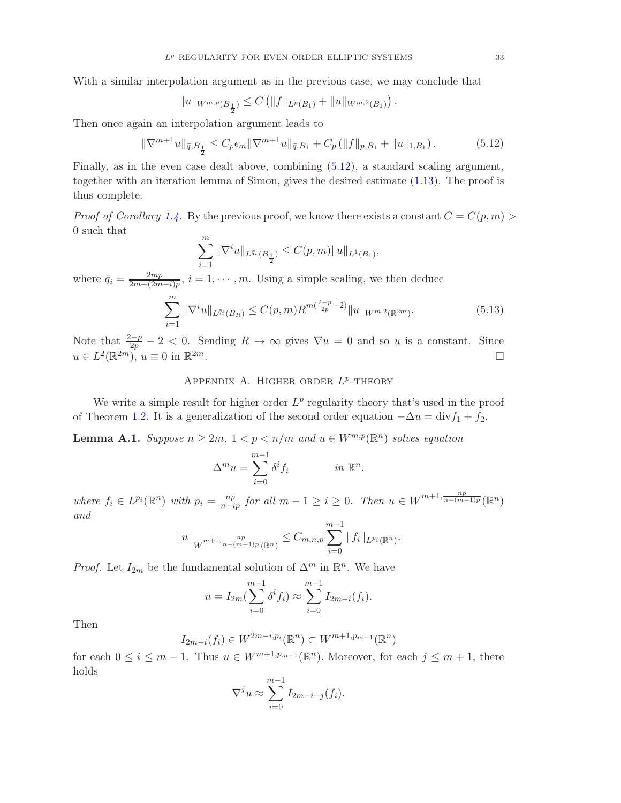With a similar interpolation argument as in the previous case, we may conclude that

$$
||u||_{W^{m,\bar{p}}(B_{\frac{1}{2}})} \leq C (||f||_{L^{p}(B_1)} + ||u||_{W^{m,2}(B_1)}).
$$

Then once again an interpolation argument leads to

<span id="page-32-1"></span>
$$
\|\nabla^{m+1}u\|_{\bar{q},B_{\frac{1}{2}}}\leq C_p\epsilon_m\|\nabla^{m+1}u\|_{\bar{q},B_1}+C_p\left(\|f\|_{p,B_1}+\|u\|_{1,B_1}\right). \tag{5.12}
$$

Finally, as in the even case dealt above, combining [\(5.12\)](#page-32-1), a standard scaling argument, together with an iteration lemma of Simon, gives the desired estimate [\(1.13\)](#page-5-3). The proof is thus complete.

*Proof of Corollary [1.4.](#page-6-0)* By the previous proof, we know there exists a constant  $C = C(p, m)$ 0 such that

$$
\sum_{i=1}^m \|\nabla^i u\|_{L^{\bar{q}_i}(B_{\frac{1}{2}})} \leq C(p,m) \|u\|_{L^1(B_1)},
$$

where  $\bar{q}_i = \frac{2mp}{2m - (2m)}$  $\frac{2mp}{2m-(2m-i)p}$ ,  $i=1,\cdots,m$ . Using a simple scaling, we then deduce

$$
\sum_{i=1}^{m} \|\nabla^i u\|_{L^{\bar{q}_i}(B_R)} \le C(p, m) R^{m(\frac{2-p}{2p} - 2)} \|u\|_{W^{m,2}(\mathbb{R}^{2m})}. \tag{5.13}
$$

<span id="page-32-0"></span>Note that  $\frac{2-p}{2p} - 2 < 0$ . Sending  $R \to \infty$  gives  $\nabla u = 0$  and so u is a constant. Since  $u \in L^2(\mathbb{R}^{2m})$ ,  $u \equiv 0$  in  $\mathbb{R}^{2m}$ .

# APPENDIX A. HIGHER ORDER  $L^p$ -THEORY

We write a simple result for higher order  $L^p$  regularity theory that's used in the proof of Theorem [1.2.](#page-5-2) It is a generalization of the second order equation  $-\Delta u = \text{div} f_1 + f_2$ .

**Lemma A.1.** Suppose  $n \geq 2m$ ,  $1 < p < n/m$  and  $u \in W^{m,p}(\mathbb{R}^n)$  solves equation

$$
\Delta^m u = \sum_{i=0}^{m-1} \delta^i f_i \qquad \text{in } \mathbb{R}^n.
$$

where  $f_i \in L^{p_i}(\mathbb{R}^n)$  with  $p_i = \frac{np}{n - ip}$  for all  $m - 1 \geq i \geq 0$ . Then  $u \in W^{m+1, \frac{np}{n - (m-1)p}}(\mathbb{R}^n)$ and

$$
||u||_{W^{m+1,\frac{np}{n-(m-1)p}}(\mathbb{R}^n)} \leq C_{m,n,p} \sum_{i=0}^{m-1} ||f_i||_{L^{p_i}(\mathbb{R}^n)}.
$$

*Proof.* Let  $I_{2m}$  be the fundamental solution of  $\Delta^m$  in  $\mathbb{R}^n$ . We have

$$
u = I_{2m}(\sum_{i=0}^{m-1} \delta^i f_i) \approx \sum_{i=0}^{m-1} I_{2m-i}(f_i).
$$

Then

$$
I_{2m-i}(f_i) \in W^{2m-i,p_i}(\mathbb{R}^n) \subset W^{m+1,p_{m-1}}(\mathbb{R}^n)
$$

for each  $0 \leq i \leq m-1$ . Thus  $u \in W^{m+1,p_{m-1}}(\mathbb{R}^n)$ . Moreover, for each  $j \leq m+1$ , there holds

$$
\nabla^j u \approx \sum_{i=0}^{m-1} I_{2m-i-j}(f_i).
$$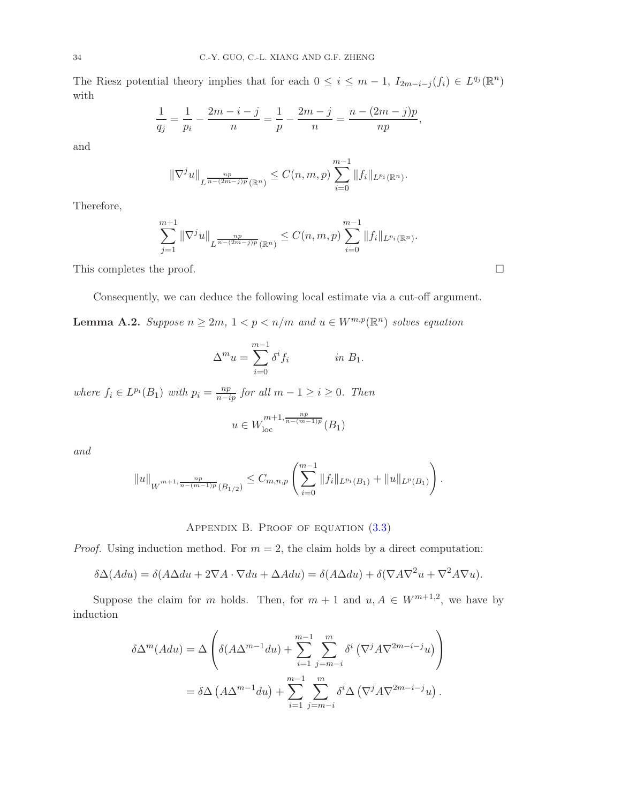The Riesz potential theory implies that for each  $0 \leq i \leq m-1$ ,  $I_{2m-i-j}(f_i) \in L^{q_j}(\mathbb{R}^n)$ with

$$
\frac{1}{q_j} = \frac{1}{p_i} - \frac{2m - i - j}{n} = \frac{1}{p} - \frac{2m - j}{n} = \frac{n - (2m - j)p}{np},
$$

and

$$
\|\nabla^j u\|_{L^{\frac{np}{n-(2m-j)p}}(\mathbb{R}^n)} \leq C(n,m,p) \sum_{i=0}^{m-1} \|f_i\|_{L^{p_i}(\mathbb{R}^n)}.
$$

Therefore,

$$
\sum_{j=1}^{m+1} \|\nabla^j u\|_{L^{\frac{np}{n-(2m-j)p}}(\mathbb{R}^n)} \leq C(n,m,p) \sum_{i=0}^{m-1} \|f_i\|_{L^{p_i}(\mathbb{R}^n)}.
$$

This completes the proof.  $\Box$ 

Consequently, we can deduce the following local estimate via a cut-off argument.

<span id="page-33-1"></span>**Lemma A.2.** Suppose  $n \geq 2m$ ,  $1 < p < n/m$  and  $u \in W^{m,p}(\mathbb{R}^n)$  solves equation

$$
\Delta^m u = \sum_{i=0}^{m-1} \delta^i f_i \qquad in \ B_1.
$$

where  $f_i \in L^{p_i}(B_1)$  with  $p_i = \frac{np}{n - ip}$  for all  $m - 1 \ge i \ge 0$ . Then

$$
u \in W^{m+1, \frac{np}{n-(m-1)p}}_{\rm loc}(B_1)
$$

and

$$
||u||_{W^{m+1,\frac{np}{n-(m-1)p}}(B_{1/2})} \leq C_{m,n,p} \left( \sum_{i=0}^{m-1} ||f_i||_{L^{p_i}(B_1)} + ||u||_{L^p(B_1)} \right).
$$

## APPENDIX B. PROOF OF EQUATION  $(3.3)$

<span id="page-33-0"></span>*Proof.* Using induction method. For  $m = 2$ , the claim holds by a direct computation:

$$
\delta \Delta (A du) = \delta (A \Delta du + 2 \nabla A \cdot \nabla du + \Delta A du) = \delta (A \Delta du) + \delta (\nabla A \nabla^2 u + \nabla^2 A \nabla u).
$$

Suppose the claim for m holds. Then, for  $m + 1$  and  $u, A \in W^{m+1,2}$ , we have by induction

$$
\delta \Delta^{m}(A du) = \Delta \left( \delta (A \Delta^{m-1} du) + \sum_{i=1}^{m-1} \sum_{j=m-i}^{m} \delta^{i} (\nabla^{j} A \nabla^{2m-i-j} u) \right)
$$
  
=  $\delta \Delta (A \Delta^{m-1} du) + \sum_{i=1}^{m-1} \sum_{j=m-i}^{m} \delta^{i} \Delta (\nabla^{j} A \nabla^{2m-i-j} u).$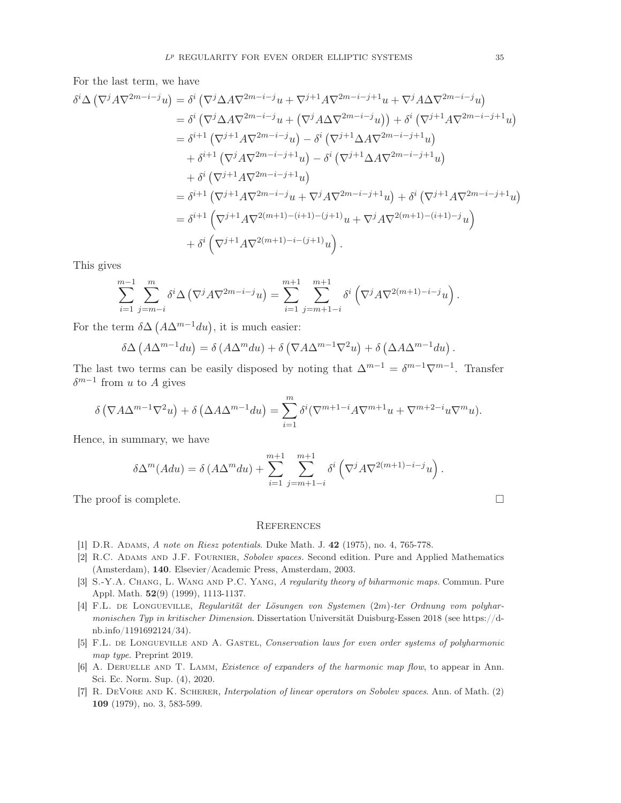For the last term, we have

$$
\delta^{i}\Delta\left(\nabla^{j}A\nabla^{2m-i-j}u\right) = \delta^{i}\left(\nabla^{j}\Delta A\nabla^{2m-i-j}u + \nabla^{j+1}A\nabla^{2m-i-j+1}u + \nabla^{j}A\Delta\nabla^{2m-i-j}u\right)
$$
  
\n
$$
= \delta^{i}\left(\nabla^{j}\Delta A\nabla^{2m-i-j}u + \left(\nabla^{j}A\Delta\nabla^{2m-i-j}u\right)\right) + \delta^{i}\left(\nabla^{j+1}A\nabla^{2m-i-j+1}u\right)
$$
  
\n
$$
= \delta^{i+1}\left(\nabla^{j+1}A\nabla^{2m-i-j}u\right) - \delta^{i}\left(\nabla^{j+1}\Delta A\nabla^{2m-i-j+1}u\right)
$$
  
\n
$$
+ \delta^{i}\left(\nabla^{j+1}A\nabla^{2m-i-j+1}u\right) - \delta^{i}\left(\nabla^{j+1}\Delta A\nabla^{2m-i-j+1}u\right)
$$
  
\n
$$
= \delta^{i+1}\left(\nabla^{j+1}A\nabla^{2m-i-j}u + \nabla^{j}A\nabla^{2m-i-j+1}u\right) + \delta^{i}\left(\nabla^{j+1}A\nabla^{2m-i-j+1}u\right)
$$
  
\n
$$
= \delta^{i+1}\left(\nabla^{j+1}A\nabla^{2(m+i)-(i+1)-(j+1)}u + \nabla^{j}A\nabla^{2(m+1)-(i+1)-j}u\right)
$$
  
\n
$$
+ \delta^{i}\left(\nabla^{j+1}A\nabla^{2(m+1)-i-(j+1)}u\right).
$$

This gives

$$
\sum_{i=1}^{m-1} \sum_{j=m-i}^{m} \delta^i \Delta \left( \nabla^j A \nabla^{2m-i-j} u \right) = \sum_{i=1}^{m+1} \sum_{j=m+1-i}^{m+1} \delta^i \left( \nabla^j A \nabla^{2(m+1)-i-j} u \right).
$$

For the term  $\delta \Delta \left( A \Delta^{m-1} du \right)$ , it is much easier:

$$
\delta \Delta \left( A \Delta^{m-1} du \right) = \delta \left( A \Delta^m du \right) + \delta \left( \nabla A \Delta^{m-1} \nabla^2 u \right) + \delta \left( \Delta A \Delta^{m-1} du \right).
$$

The last two terms can be easily disposed by noting that  $\Delta^{m-1} = \delta^{m-1} \nabla^{m-1}$ . Transfer  $\delta^{m-1}$  from u to A gives

$$
\delta\left(\nabla A\Delta^{m-1}\nabla^2 u\right) + \delta\left(\Delta A\Delta^{m-1} du\right) = \sum_{i=1}^m \delta^i(\nabla^{m+1-i} A\nabla^{m+1} u + \nabla^{m+2-i} u\nabla^m u).
$$

Hence, in summary, we have

$$
\delta \Delta^m(Adu) = \delta (A \Delta^m du) + \sum_{i=1}^{m+1} \sum_{j=m+1-i}^{m+1} \delta^i \left( \nabla^j A \nabla^{2(m+1)-i-j} u \right).
$$

The proof is complete.  $\Box$ 

### <span id="page-34-1"></span>**REFERENCES**

- <span id="page-34-6"></span><span id="page-34-3"></span>[1] D.R. Adams, A note on Riesz potentials. Duke Math. J. 42 (1975), no. 4, 765-778.
- [2] R.C. Adams and J.F. Fournier, Sobolev spaces. Second edition. Pure and Applied Mathematics (Amsterdam), 140. Elsevier/Academic Press, Amsterdam, 2003.
- <span id="page-34-2"></span>[3] S.-Y.A. CHANG, L. WANG AND P.C. YANG, A regularity theory of biharmonic maps. Commun. Pure Appl. Math. 52(9) (1999), 1113-1137.
- <span id="page-34-5"></span>[4] F.L. de Longueville, Regularität der Lösungen von Systemen (2m)-ter Ordnung vom polyharmonischen Typ in kritischer Dimension. Dissertation Universität Duisburg-Essen 2018 (see https://dnb.info/1191692124/34).
- <span id="page-34-0"></span>[5] F.L. de Longueville and A. Gastel, Conservation laws for even order systems of polyharmonic map type. Preprint 2019.
- [6] A. DERUELLE AND T. LAMM, *Existence of expanders of the harmonic map flow*, to appear in Ann. Sci. Ec. Norm. Sup. (4), 2020.
- <span id="page-34-4"></span>[7] R. DeVore and K. Scherer, Interpolation of linear operators on Sobolev spaces. Ann. of Math. (2) 109 (1979), no. 3, 583-599.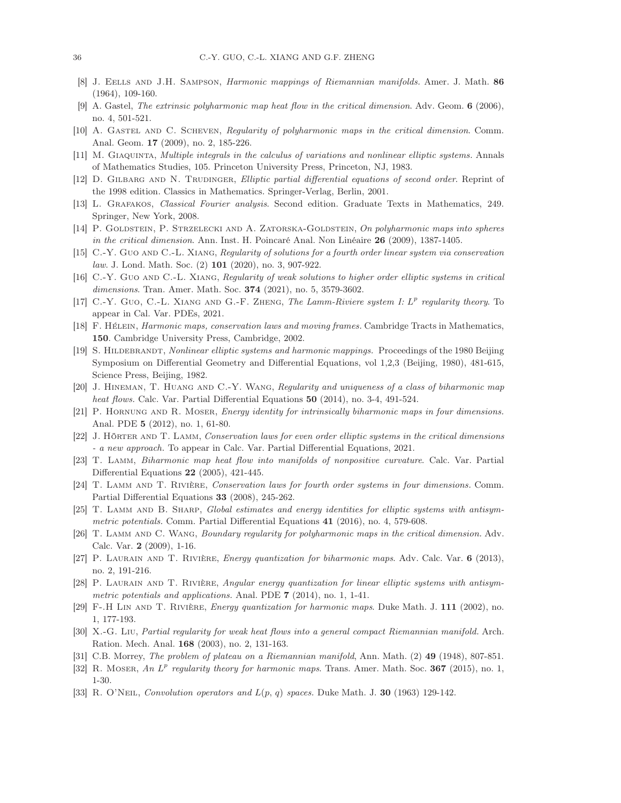- [8] J. Eells and J.H. Sampson, Harmonic mappings of Riemannian manifolds. Amer. J. Math. 86 (1964), 109-160.
- <span id="page-35-2"></span>[9] A. Gastel, The extrinsic polyharmonic map heat flow in the critical dimension. Adv. Geom. 6 (2006), no. 4, 501-521.
- <span id="page-35-15"></span>[10] A. GASTEL AND C. SCHEVEN, Regularity of polyharmonic maps in the critical dimension. Comm. Anal. Geom. 17 (2009), no. 2, 185-226.
- [11] M. Giaquinta, Multiple integrals in the calculus of variations and nonlinear elliptic systems. Annals of Mathematics Studies, 105. Princeton University Press, Princeton, NJ, 1983.
- [12] D. GILBARG AND N. TRUDINGER, Elliptic partial differential equations of second order. Reprint of the 1998 edition. Classics in Mathematics. Springer-Verlag, Berlin, 2001.
- <span id="page-35-3"></span>[13] L. Grafakos, Classical Fourier analysis. Second edition. Graduate Texts in Mathematics, 249. Springer, New York, 2008.
- [14] P. GOLDSTEIN, P. STRZELECKI AND A. ZATORSKA-GOLDSTEIN, On polyharmonic maps into spheres in the critical dimension. Ann. Inst. H. Poincaré Anal. Non Linéaire 26 (2009), 1387-1405.
- <span id="page-35-12"></span>[15] C.-Y. Guo AND C.-L. XIANG, Regularity of solutions for a fourth order linear system via conservation law. J. Lond. Math. Soc. (2) 101 (2020), no. 3, 907-922.
- <span id="page-35-6"></span>[16] C.-Y. Guo and C.-L. Xiang, Regularity of weak solutions to higher order elliptic systems in critical dimensions. Tran. Amer. Math. Soc. 374 (2021), no. 5, 3579-3602.
- <span id="page-35-0"></span>[17] C.-Y. Guo, C.-L. XIANG AND G.-F. ZHENG, The Lamm-Riviere system I:  $L^p$  regularity theory. To appear in Cal. Var. PDEs, 2021.
- [18] F. Hélein, Harmonic maps, conservation laws and moving frames. Cambridge Tracts in Mathematics, 150. Cambridge University Press, Cambridge, 2002.
- [19] S. HILDEBRANDT, *Nonlinear elliptic systems and harmonic mappings.* Proceedings of the 1980 Beijing Symposium on Differential Geometry and Differential Equations, vol 1,2,3 (Beijing, 1980), 481-615, Science Press, Beijing, 1982.
- <span id="page-35-9"></span>[20] J. Hineman, T. Huang and C.-Y. Wang, Regularity and uniqueness of a class of biharmonic map heat flows. Calc. Var. Partial Differential Equations 50 (2014), no. 3-4, 491-524.
- <span id="page-35-5"></span>[21] P. HORNUNG AND R. MOSER, *Energy identity for intrinsically biharmonic maps in four dimensions.* Anal. PDE 5 (2012), no. 1, 61-80.
- [22] J. Hörter and T. Lamm, Conservation laws for even order elliptic systems in the critical dimensions - a new approach. To appear in Calc. Var. Partial Differential Equations, 2021.
- [23] T. Lamm, Biharmonic map heat flow into manifolds of nonpositive curvature. Calc. Var. Partial Differential Equations 22 (2005), 421-445.
- <span id="page-35-1"></span>[24] T. Lamm and T. Rivière, Conservation laws for fourth order systems in four dimensions. Comm. Partial Differential Equations 33 (2008), 245-262.
- <span id="page-35-10"></span>[25] T. LAMM AND B. SHARP, Global estimates and energy identities for elliptic systems with antisymmetric potentials. Comm. Partial Differential Equations 41 (2016), no. 4, 579-608.
- <span id="page-35-4"></span>[26] T. Lamm and C. Wang, Boundary regularity for polyharmonic maps in the critical dimension. Adv. Calc. Var. 2 (2009), 1-16.
- <span id="page-35-8"></span><span id="page-35-7"></span>[27] P. Laurain and T. Rivière, Energy quantization for biharmonic maps. Adv. Calc. Var. 6 (2013), no. 2, 191-216.
- [28] P. Laurain and T. Rivière, Angular energy quantization for linear elliptic systems with antisymmetric potentials and applications. Anal. PDE  $7$  (2014), no. 1, 1-41.
- <span id="page-35-13"></span>[29] F-.H Lin and T. Rivière, Energy quantization for harmonic maps. Duke Math. J. 111 (2002), no. 1, 177-193.
- [30] X.-G. Liu, Partial regularity for weak heat flows into a general compact Riemannian manifold. Arch. Ration. Mech. Anal. 168 (2003), no. 2, 131-163.
- <span id="page-35-11"></span>[31] C.B. Morrey, *The problem of plateau on a Riemannian manifold*, Ann. Math. (2) 49 (1948), 807-851.
- <span id="page-35-14"></span>[32] R. MOSER, An  $L^p$  regularity theory for harmonic maps. Trans. Amer. Math. Soc. 367 (2015), no. 1, 1-30.
- [33] R. O'Neil, Convolution operators and  $L(p, q)$  spaces. Duke Math. J. 30 (1963) 129-142.